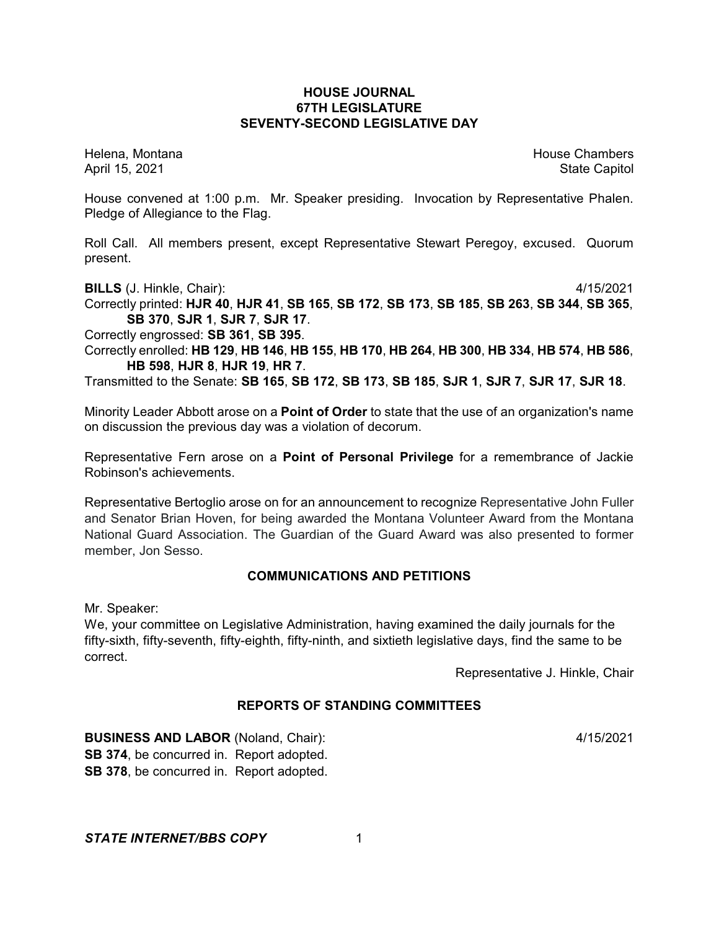### **HOUSE JOURNAL 67TH LEGISLATURE SEVENTY-SECOND LEGISLATIVE DAY**

Helena, Montana House Chambers Chambers Chambers Chambers Chambers Chambers Chambers Chambers Chambers Chambers

April 15, 2021 State Capitol

House convened at 1:00 p.m. Mr. Speaker presiding. Invocation by Representative Phalen. Pledge of Allegiance to the Flag.

Roll Call. All members present, except Representative Stewart Peregoy, excused. Quorum present.

**BILLS** (J. Hinkle, Chair): 4/15/2021

Correctly printed: **HJR 40**, **HJR 41**, **SB 165**, **SB 172**, **SB 173**, **SB 185**, **SB 263**, **SB 344**, **SB 365**, **SB 370**, **SJR 1**, **SJR 7**, **SJR 17**.

Correctly engrossed: **SB 361**, **SB 395**.

Correctly enrolled: **HB 129**, **HB 146**, **HB 155**, **HB 170**, **HB 264**, **HB 300**, **HB 334**, **HB 574**, **HB 586**, **HB 598**, **HJR 8**, **HJR 19**, **HR 7**.

Transmitted to the Senate: **SB 165**, **SB 172**, **SB 173**, **SB 185**, **SJR 1**, **SJR 7**, **SJR 17**, **SJR 18**.

Minority Leader Abbott arose on a **Point of Order** to state that the use of an organization's name on discussion the previous day was a violation of decorum.

Representative Fern arose on a **Point of Personal Privilege** for a remembrance of Jackie Robinson's achievements.

Representative Bertoglio arose on for an announcement to recognize Representative John Fuller and Senator Brian Hoven, for being awarded the Montana Volunteer Award from the Montana National Guard Association. The Guardian of the Guard Award was also presented to former member, Jon Sesso.

### **COMMUNICATIONS AND PETITIONS**

Mr. Speaker:

We, your committee on Legislative Administration, having examined the daily journals for the fifty-sixth, fifty-seventh, fifty-eighth, fifty-ninth, and sixtieth legislative days, find the same to be correct.

Representative J. Hinkle, Chair

# **REPORTS OF STANDING COMMITTEES**

**BUSINESS AND LABOR** (Noland, Chair): 4/15/2021 **SB 374**, be concurred in. Report adopted. **SB 378**, be concurred in. Report adopted.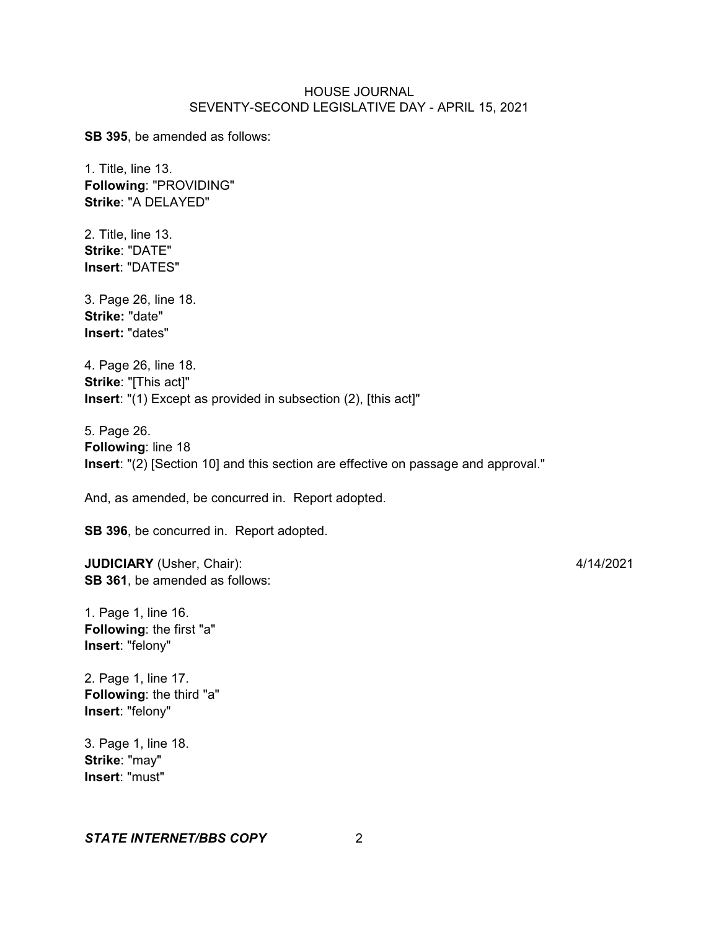**SB 395**, be amended as follows:

1. Title, line 13. **Following**: "PROVIDING" **Strike**: "A DELAYED"

2. Title, line 13. **Strike**: "DATE" **Insert**: "DATES"

3. Page 26, line 18. **Strike:** "date" **Insert:** "dates"

4. Page 26, line 18. **Strike**: "[This act]" **Insert**: "(1) Except as provided in subsection (2), [this act]"

5. Page 26. **Following**: line 18 **Insert**: "(2) [Section 10] and this section are effective on passage and approval."

And, as amended, be concurred in. Report adopted.

**SB 396**, be concurred in. Report adopted.

**JUDICIARY** (Usher, Chair): 4/14/2021 **SB 361**, be amended as follows:

1. Page 1, line 16. **Following**: the first "a" **Insert**: "felony"

2. Page 1, line 17. **Following**: the third "a" **Insert**: "felony"

3. Page 1, line 18. **Strike**: "may" **Insert**: "must"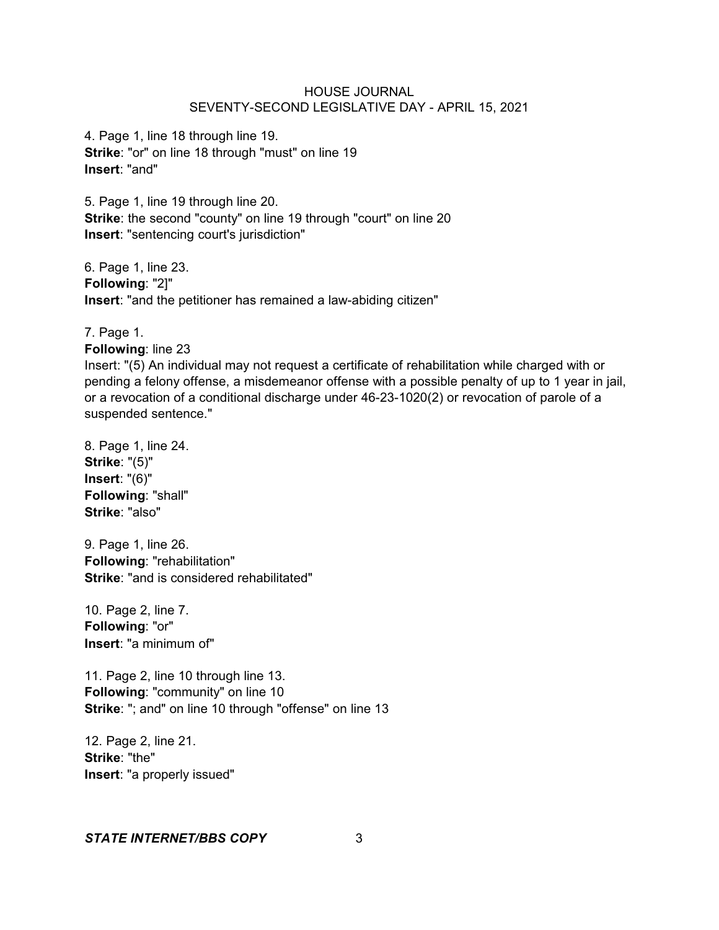4. Page 1, line 18 through line 19. **Strike**: "or" on line 18 through "must" on line 19 **Insert**: "and"

5. Page 1, line 19 through line 20. **Strike**: the second "county" on line 19 through "court" on line 20 **Insert**: "sentencing court's jurisdiction"

6. Page 1, line 23. **Following**: "2]" **Insert**: "and the petitioner has remained a law-abiding citizen"

7. Page 1.

**Following**: line 23

Insert: "(5) An individual may not request a certificate of rehabilitation while charged with or pending a felony offense, a misdemeanor offense with a possible penalty of up to 1 year in jail, or a revocation of a conditional discharge under 46-23-1020(2) or revocation of parole of a suspended sentence."

8. Page 1, line 24. **Strike**: "(5)" **Insert**: "(6)" **Following**: "shall" **Strike**: "also"

9. Page 1, line 26. **Following**: "rehabilitation" **Strike**: "and is considered rehabilitated"

10. Page 2, line 7. **Following**: "or" **Insert**: "a minimum of"

11. Page 2, line 10 through line 13. **Following**: "community" on line 10 **Strike**: "; and" on line 10 through "offense" on line 13

12. Page 2, line 21. **Strike**: "the" **Insert**: "a properly issued"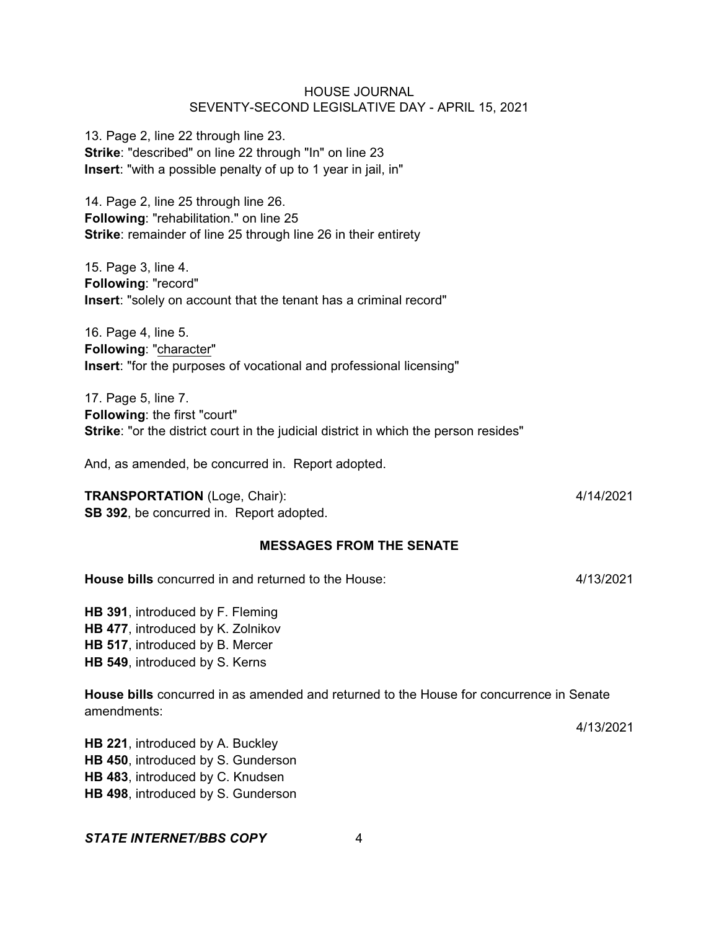| <b>HOUSE JOURNAL</b>                            |
|-------------------------------------------------|
| SEVENTY-SECOND LEGISLATIVE DAY - APRIL 15, 2021 |

13. Page 2, line 22 through line 23. **Strike**: "described" on line 22 through "In" on line 23 **Insert**: "with a possible penalty of up to 1 year in jail, in"

14. Page 2, line 25 through line 26. **Following**: "rehabilitation." on line 25 **Strike**: remainder of line 25 through line 26 in their entirety

15. Page 3, line 4. **Following**: "record" **Insert**: "solely on account that the tenant has a criminal record"

16. Page 4, line 5. **Following**: "character" **Insert**: "for the purposes of vocational and professional licensing"

17. Page 5, line 7. **Following**: the first "court" **Strike**: "or the district court in the judicial district in which the person resides"

And, as amended, be concurred in. Report adopted.

## **TRANSPORTATION** (Loge, Chair): 4/14/2021

**SB 392**, be concurred in. Report adopted.

#### **MESSAGES FROM THE SENATE**

**House bills** concurred in and returned to the House: 4/13/2021

**HB 391**, introduced by F. Fleming **HB 477**, introduced by K. Zolnikov **HB 517**, introduced by B. Mercer **HB 549**, introduced by S. Kerns

**House bills** concurred in as amended and returned to the House for concurrence in Senate amendments:

4/13/2021

**HB 221**, introduced by A. Buckley **HB 450**, introduced by S. Gunderson **HB 483**, introduced by C. Knudsen **HB 498**, introduced by S. Gunderson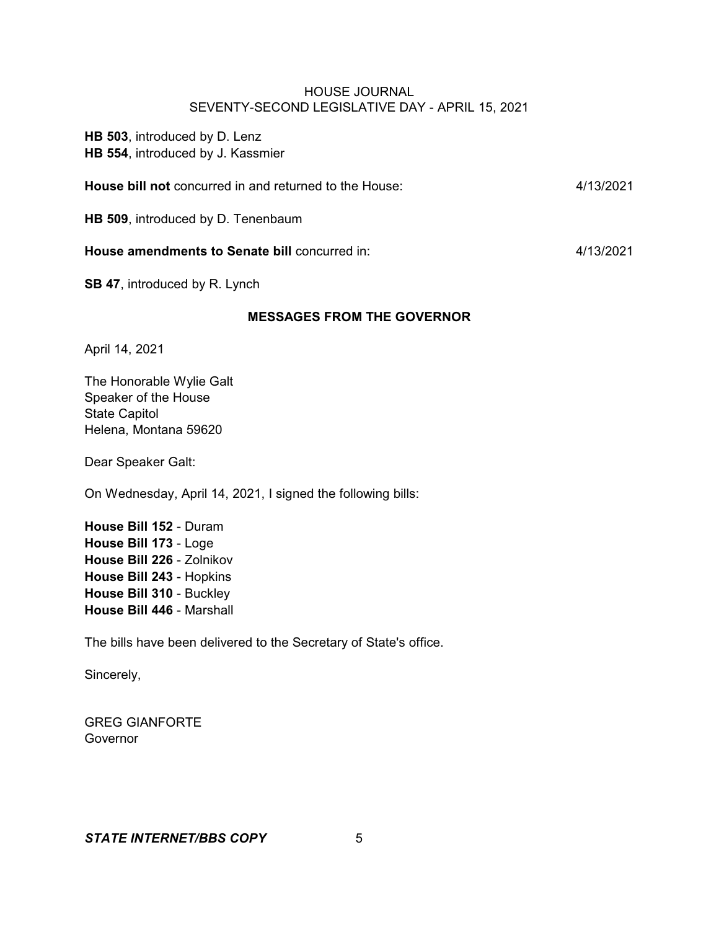**HB 503**, introduced by D. Lenz **HB 554**, introduced by J. Kassmier

| House bill not concurred in and returned to the House: | 4/13/2021 |
|--------------------------------------------------------|-----------|
| <b>HB 509, introduced by D. Tenenbaum</b>              |           |

**House amendments to Senate bill** concurred in: 4/13/2021

**SB 47**, introduced by R. Lynch

### **MESSAGES FROM THE GOVERNOR**

April 14, 2021

The Honorable Wylie Galt Speaker of the House State Capitol Helena, Montana 59620

Dear Speaker Galt:

On Wednesday, April 14, 2021, I signed the following bills:

**House Bill 152** - Duram **House Bill 173** - Loge **House Bill 226** - Zolnikov **House Bill 243** - Hopkins **House Bill 310** - Buckley **House Bill 446** - Marshall

The bills have been delivered to the Secretary of State's office.

Sincerely,

GREG GIANFORTE Governor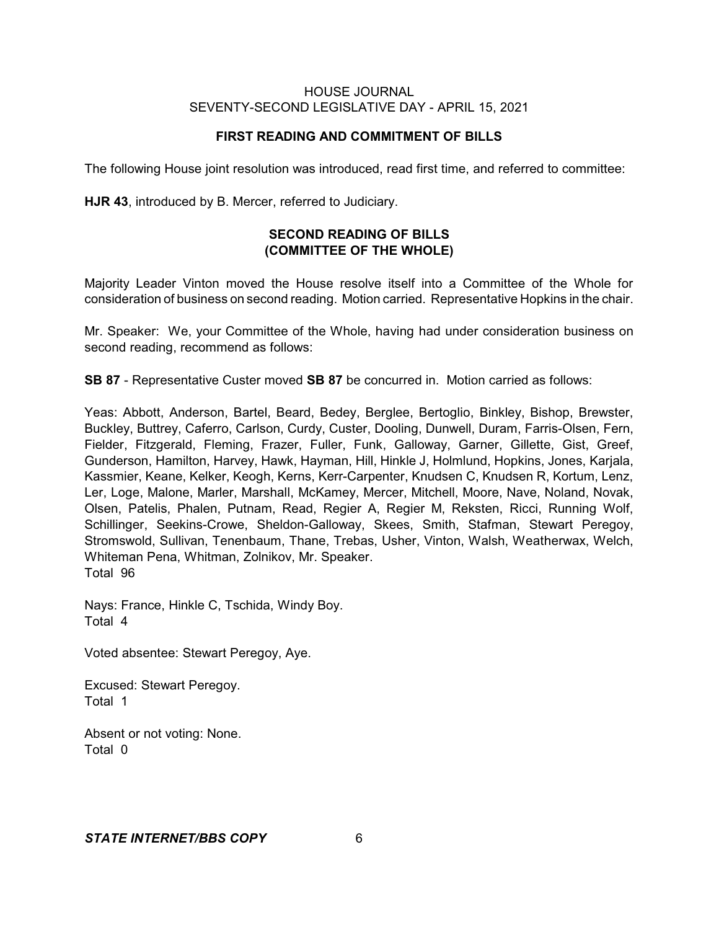# **FIRST READING AND COMMITMENT OF BILLS**

The following House joint resolution was introduced, read first time, and referred to committee:

**HJR 43**, introduced by B. Mercer, referred to Judiciary.

# **SECOND READING OF BILLS (COMMITTEE OF THE WHOLE)**

Majority Leader Vinton moved the House resolve itself into a Committee of the Whole for consideration of business on second reading. Motion carried. Representative Hopkins in the chair.

Mr. Speaker: We, your Committee of the Whole, having had under consideration business on second reading, recommend as follows:

**SB 87** - Representative Custer moved **SB 87** be concurred in. Motion carried as follows:

Yeas: Abbott, Anderson, Bartel, Beard, Bedey, Berglee, Bertoglio, Binkley, Bishop, Brewster, Buckley, Buttrey, Caferro, Carlson, Curdy, Custer, Dooling, Dunwell, Duram, Farris-Olsen, Fern, Fielder, Fitzgerald, Fleming, Frazer, Fuller, Funk, Galloway, Garner, Gillette, Gist, Greef, Gunderson, Hamilton, Harvey, Hawk, Hayman, Hill, Hinkle J, Holmlund, Hopkins, Jones, Karjala, Kassmier, Keane, Kelker, Keogh, Kerns, Kerr-Carpenter, Knudsen C, Knudsen R, Kortum, Lenz, Ler, Loge, Malone, Marler, Marshall, McKamey, Mercer, Mitchell, Moore, Nave, Noland, Novak, Olsen, Patelis, Phalen, Putnam, Read, Regier A, Regier M, Reksten, Ricci, Running Wolf, Schillinger, Seekins-Crowe, Sheldon-Galloway, Skees, Smith, Stafman, Stewart Peregoy, Stromswold, Sullivan, Tenenbaum, Thane, Trebas, Usher, Vinton, Walsh, Weatherwax, Welch, Whiteman Pena, Whitman, Zolnikov, Mr. Speaker. Total 96

Nays: France, Hinkle C, Tschida, Windy Boy. Total 4

Voted absentee: Stewart Peregoy, Aye.

Excused: Stewart Peregoy. Total 1

Absent or not voting: None. Total 0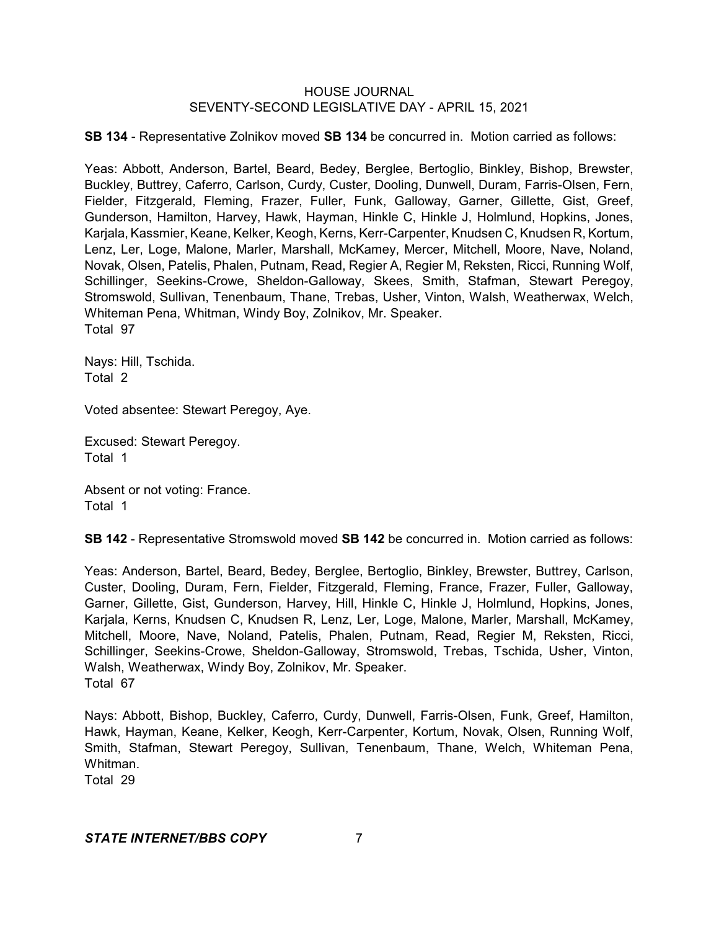**SB 134** - Representative Zolnikov moved **SB 134** be concurred in. Motion carried as follows:

Yeas: Abbott, Anderson, Bartel, Beard, Bedey, Berglee, Bertoglio, Binkley, Bishop, Brewster, Buckley, Buttrey, Caferro, Carlson, Curdy, Custer, Dooling, Dunwell, Duram, Farris-Olsen, Fern, Fielder, Fitzgerald, Fleming, Frazer, Fuller, Funk, Galloway, Garner, Gillette, Gist, Greef, Gunderson, Hamilton, Harvey, Hawk, Hayman, Hinkle C, Hinkle J, Holmlund, Hopkins, Jones, Karjala, Kassmier, Keane, Kelker, Keogh, Kerns, Kerr-Carpenter, Knudsen C, Knudsen R, Kortum, Lenz, Ler, Loge, Malone, Marler, Marshall, McKamey, Mercer, Mitchell, Moore, Nave, Noland, Novak, Olsen, Patelis, Phalen, Putnam, Read, Regier A, Regier M, Reksten, Ricci, Running Wolf, Schillinger, Seekins-Crowe, Sheldon-Galloway, Skees, Smith, Stafman, Stewart Peregoy, Stromswold, Sullivan, Tenenbaum, Thane, Trebas, Usher, Vinton, Walsh, Weatherwax, Welch, Whiteman Pena, Whitman, Windy Boy, Zolnikov, Mr. Speaker. Total 97

Nays: Hill, Tschida. Total 2

Voted absentee: Stewart Peregoy, Aye.

Excused: Stewart Peregoy. Total 1

Absent or not voting: France. Total 1

**SB 142** - Representative Stromswold moved **SB 142** be concurred in. Motion carried as follows:

Yeas: Anderson, Bartel, Beard, Bedey, Berglee, Bertoglio, Binkley, Brewster, Buttrey, Carlson, Custer, Dooling, Duram, Fern, Fielder, Fitzgerald, Fleming, France, Frazer, Fuller, Galloway, Garner, Gillette, Gist, Gunderson, Harvey, Hill, Hinkle C, Hinkle J, Holmlund, Hopkins, Jones, Karjala, Kerns, Knudsen C, Knudsen R, Lenz, Ler, Loge, Malone, Marler, Marshall, McKamey, Mitchell, Moore, Nave, Noland, Patelis, Phalen, Putnam, Read, Regier M, Reksten, Ricci, Schillinger, Seekins-Crowe, Sheldon-Galloway, Stromswold, Trebas, Tschida, Usher, Vinton, Walsh, Weatherwax, Windy Boy, Zolnikov, Mr. Speaker. Total 67

Nays: Abbott, Bishop, Buckley, Caferro, Curdy, Dunwell, Farris-Olsen, Funk, Greef, Hamilton, Hawk, Hayman, Keane, Kelker, Keogh, Kerr-Carpenter, Kortum, Novak, Olsen, Running Wolf, Smith, Stafman, Stewart Peregoy, Sullivan, Tenenbaum, Thane, Welch, Whiteman Pena, Whitman.

Total 29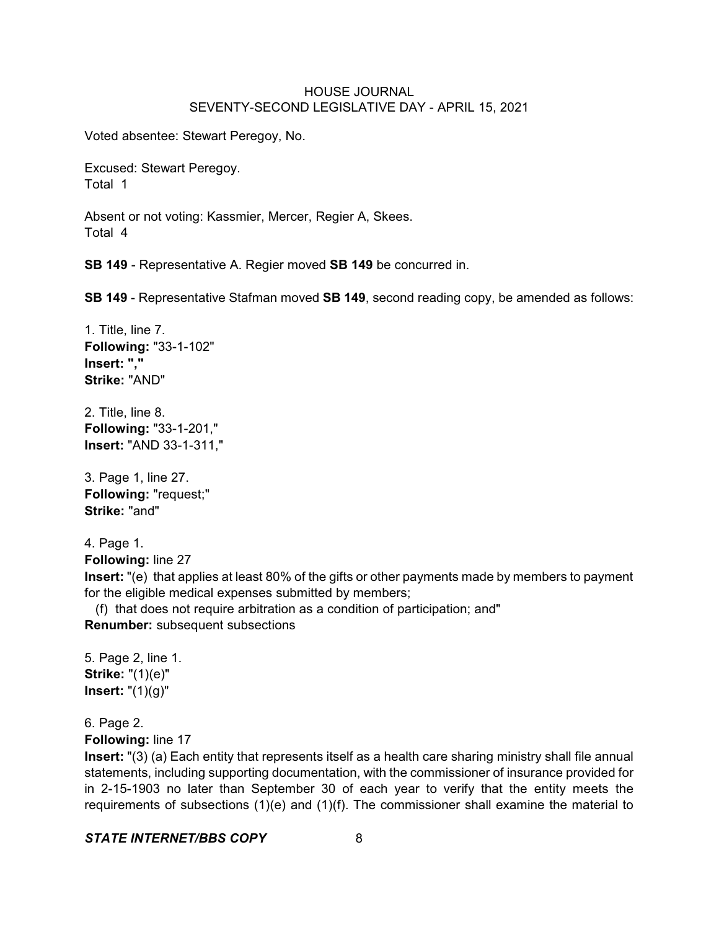Voted absentee: Stewart Peregoy, No.

Excused: Stewart Peregoy. Total 1

Absent or not voting: Kassmier, Mercer, Regier A, Skees. Total 4

**SB 149** - Representative A. Regier moved **SB 149** be concurred in.

**SB 149** - Representative Stafman moved **SB 149**, second reading copy, be amended as follows:

1. Title, line 7. **Following:** "33-1-102" **Insert: "," Strike:** "AND"

2. Title, line 8. **Following:** "33-1-201," **Insert:** "AND 33-1-311,"

3. Page 1, line 27. **Following:** "request;" **Strike:** "and"

4. Page 1. **Following:** line 27

**Insert:** "(e) that applies at least 80% of the gifts or other payments made by members to payment for the eligible medical expenses submitted by members;

 (f) that does not require arbitration as a condition of participation; and" **Renumber:** subsequent subsections

5. Page 2, line 1. **Strike:** "(1)(e)" **Insert:** "(1)(g)"

6. Page 2.

**Following:** line 17

**Insert:** "(3) (a) Each entity that represents itself as a health care sharing ministry shall file annual statements, including supporting documentation, with the commissioner of insurance provided for in 2-15-1903 no later than September 30 of each year to verify that the entity meets the requirements of subsections (1)(e) and (1)(f). The commissioner shall examine the material to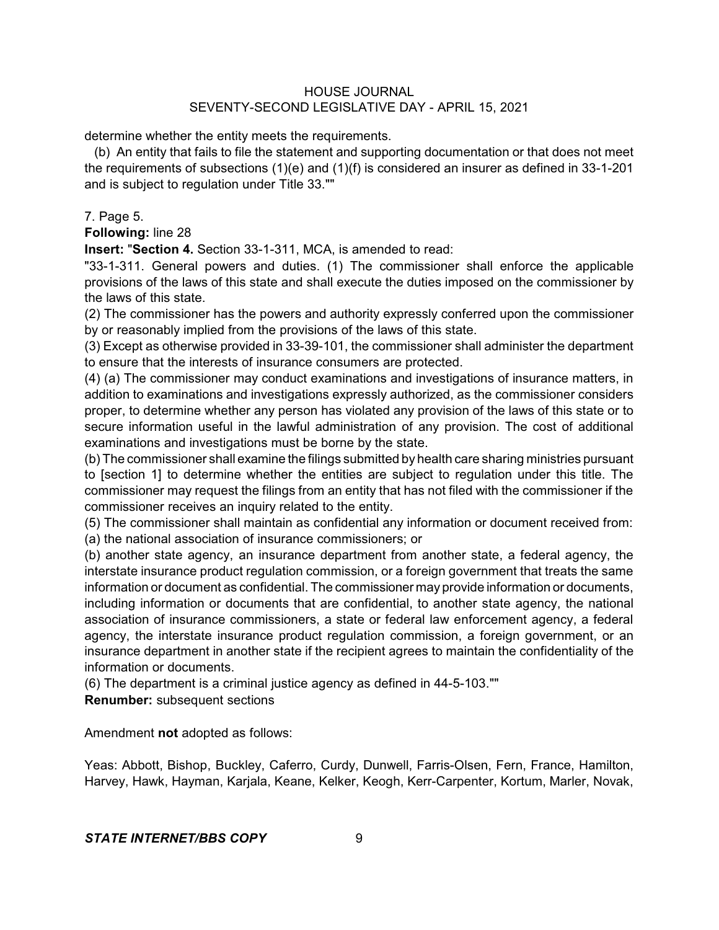determine whether the entity meets the requirements.

(b) An entity that fails to file the statement and supporting documentation or that does not meet the requirements of subsections (1)(e) and (1)(f) is considered an insurer as defined in 33-1-201 and is subject to regulation under Title 33.""

7. Page 5.

**Following:** line 28

**Insert:** "**Section 4.** Section 33-1-311, MCA, is amended to read:

"33-1-311. General powers and duties. (1) The commissioner shall enforce the applicable provisions of the laws of this state and shall execute the duties imposed on the commissioner by the laws of this state.

(2) The commissioner has the powers and authority expressly conferred upon the commissioner by or reasonably implied from the provisions of the laws of this state.

(3) Except as otherwise provided in 33-39-101, the commissioner shall administer the department to ensure that the interests of insurance consumers are protected.

(4) (a) The commissioner may conduct examinations and investigations of insurance matters, in addition to examinations and investigations expressly authorized, as the commissioner considers proper, to determine whether any person has violated any provision of the laws of this state or to secure information useful in the lawful administration of any provision. The cost of additional examinations and investigations must be borne by the state.

(b) The commissioner shall examine the filings submitted by health care sharing ministries pursuant to [section 1] to determine whether the entities are subject to regulation under this title. The commissioner may request the filings from an entity that has not filed with the commissioner if the commissioner receives an inquiry related to the entity.

(5) The commissioner shall maintain as confidential any information or document received from: (a) the national association of insurance commissioners; or

(b) another state agency, an insurance department from another state, a federal agency, the interstate insurance product regulation commission, or a foreign government that treats the same information or document as confidential. The commissioner may provide information or documents, including information or documents that are confidential, to another state agency, the national association of insurance commissioners, a state or federal law enforcement agency, a federal agency, the interstate insurance product regulation commission, a foreign government, or an insurance department in another state if the recipient agrees to maintain the confidentiality of the information or documents.

(6) The department is a criminal justice agency as defined in 44-5-103.""

**Renumber:** subsequent sections

Amendment **not** adopted as follows:

Yeas: Abbott, Bishop, Buckley, Caferro, Curdy, Dunwell, Farris-Olsen, Fern, France, Hamilton, Harvey, Hawk, Hayman, Karjala, Keane, Kelker, Keogh, Kerr-Carpenter, Kortum, Marler, Novak,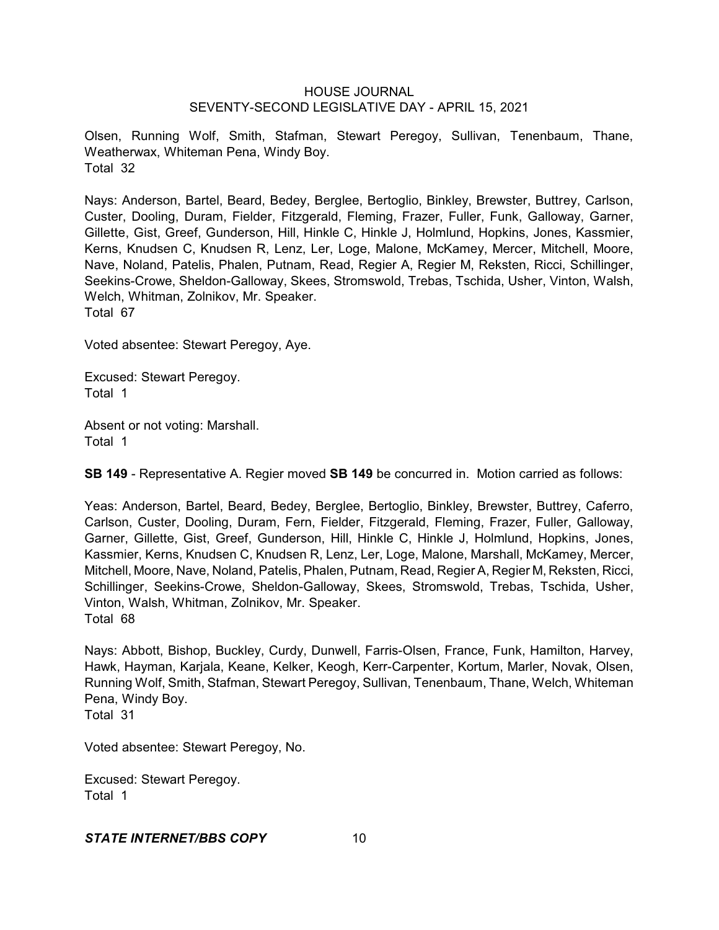Olsen, Running Wolf, Smith, Stafman, Stewart Peregoy, Sullivan, Tenenbaum, Thane, Weatherwax, Whiteman Pena, Windy Boy. Total 32

Nays: Anderson, Bartel, Beard, Bedey, Berglee, Bertoglio, Binkley, Brewster, Buttrey, Carlson, Custer, Dooling, Duram, Fielder, Fitzgerald, Fleming, Frazer, Fuller, Funk, Galloway, Garner, Gillette, Gist, Greef, Gunderson, Hill, Hinkle C, Hinkle J, Holmlund, Hopkins, Jones, Kassmier, Kerns, Knudsen C, Knudsen R, Lenz, Ler, Loge, Malone, McKamey, Mercer, Mitchell, Moore, Nave, Noland, Patelis, Phalen, Putnam, Read, Regier A, Regier M, Reksten, Ricci, Schillinger, Seekins-Crowe, Sheldon-Galloway, Skees, Stromswold, Trebas, Tschida, Usher, Vinton, Walsh, Welch, Whitman, Zolnikov, Mr. Speaker. Total 67

Voted absentee: Stewart Peregoy, Aye.

Excused: Stewart Peregoy. Total 1

Absent or not voting: Marshall. Total 1

**SB 149** - Representative A. Regier moved **SB 149** be concurred in. Motion carried as follows:

Yeas: Anderson, Bartel, Beard, Bedey, Berglee, Bertoglio, Binkley, Brewster, Buttrey, Caferro, Carlson, Custer, Dooling, Duram, Fern, Fielder, Fitzgerald, Fleming, Frazer, Fuller, Galloway, Garner, Gillette, Gist, Greef, Gunderson, Hill, Hinkle C, Hinkle J, Holmlund, Hopkins, Jones, Kassmier, Kerns, Knudsen C, Knudsen R, Lenz, Ler, Loge, Malone, Marshall, McKamey, Mercer, Mitchell, Moore, Nave, Noland, Patelis, Phalen, Putnam, Read, Regier A, Regier M, Reksten, Ricci, Schillinger, Seekins-Crowe, Sheldon-Galloway, Skees, Stromswold, Trebas, Tschida, Usher, Vinton, Walsh, Whitman, Zolnikov, Mr. Speaker. Total 68

Nays: Abbott, Bishop, Buckley, Curdy, Dunwell, Farris-Olsen, France, Funk, Hamilton, Harvey, Hawk, Hayman, Karjala, Keane, Kelker, Keogh, Kerr-Carpenter, Kortum, Marler, Novak, Olsen, Running Wolf, Smith, Stafman, Stewart Peregoy, Sullivan, Tenenbaum, Thane, Welch, Whiteman Pena, Windy Boy. Total 31

Voted absentee: Stewart Peregoy, No.

Excused: Stewart Peregoy. Total 1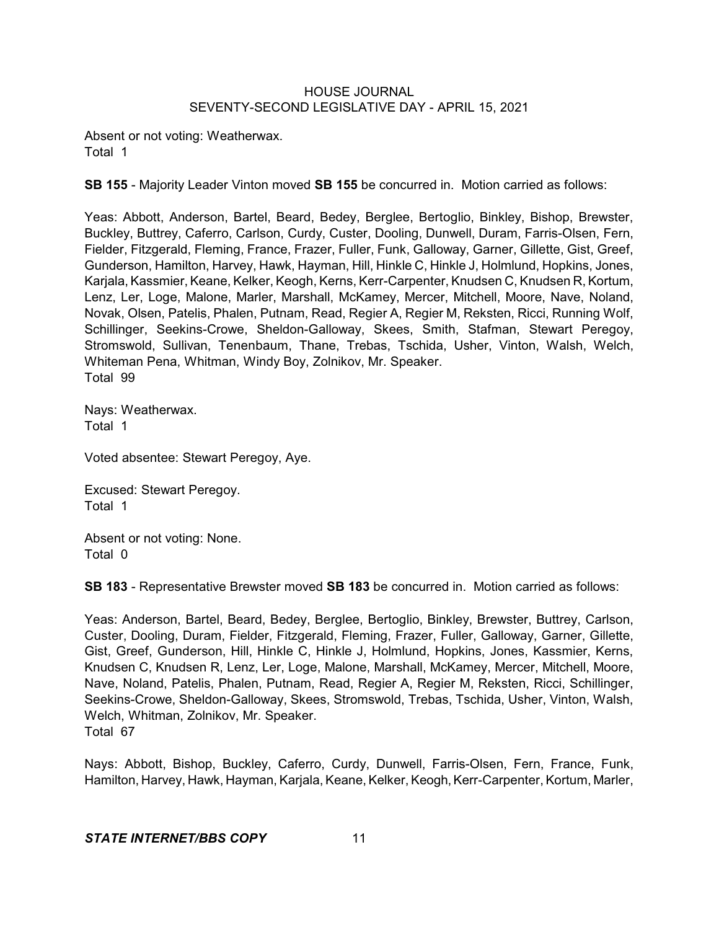Absent or not voting: Weatherwax. Total 1

**SB 155** - Majority Leader Vinton moved **SB 155** be concurred in. Motion carried as follows:

Yeas: Abbott, Anderson, Bartel, Beard, Bedey, Berglee, Bertoglio, Binkley, Bishop, Brewster, Buckley, Buttrey, Caferro, Carlson, Curdy, Custer, Dooling, Dunwell, Duram, Farris-Olsen, Fern, Fielder, Fitzgerald, Fleming, France, Frazer, Fuller, Funk, Galloway, Garner, Gillette, Gist, Greef, Gunderson, Hamilton, Harvey, Hawk, Hayman, Hill, Hinkle C, Hinkle J, Holmlund, Hopkins, Jones, Karjala, Kassmier, Keane, Kelker, Keogh, Kerns, Kerr-Carpenter, Knudsen C, Knudsen R, Kortum, Lenz, Ler, Loge, Malone, Marler, Marshall, McKamey, Mercer, Mitchell, Moore, Nave, Noland, Novak, Olsen, Patelis, Phalen, Putnam, Read, Regier A, Regier M, Reksten, Ricci, Running Wolf, Schillinger, Seekins-Crowe, Sheldon-Galloway, Skees, Smith, Stafman, Stewart Peregoy, Stromswold, Sullivan, Tenenbaum, Thane, Trebas, Tschida, Usher, Vinton, Walsh, Welch, Whiteman Pena, Whitman, Windy Boy, Zolnikov, Mr. Speaker. Total 99

Nays: Weatherwax. Total 1

Voted absentee: Stewart Peregoy, Aye.

Excused: Stewart Peregoy. Total 1

Absent or not voting: None. Total 0

**SB 183** - Representative Brewster moved **SB 183** be concurred in. Motion carried as follows:

Yeas: Anderson, Bartel, Beard, Bedey, Berglee, Bertoglio, Binkley, Brewster, Buttrey, Carlson, Custer, Dooling, Duram, Fielder, Fitzgerald, Fleming, Frazer, Fuller, Galloway, Garner, Gillette, Gist, Greef, Gunderson, Hill, Hinkle C, Hinkle J, Holmlund, Hopkins, Jones, Kassmier, Kerns, Knudsen C, Knudsen R, Lenz, Ler, Loge, Malone, Marshall, McKamey, Mercer, Mitchell, Moore, Nave, Noland, Patelis, Phalen, Putnam, Read, Regier A, Regier M, Reksten, Ricci, Schillinger, Seekins-Crowe, Sheldon-Galloway, Skees, Stromswold, Trebas, Tschida, Usher, Vinton, Walsh, Welch, Whitman, Zolnikov, Mr. Speaker. Total 67

Nays: Abbott, Bishop, Buckley, Caferro, Curdy, Dunwell, Farris-Olsen, Fern, France, Funk, Hamilton, Harvey, Hawk, Hayman, Karjala, Keane, Kelker, Keogh,Kerr-Carpenter, Kortum, Marler,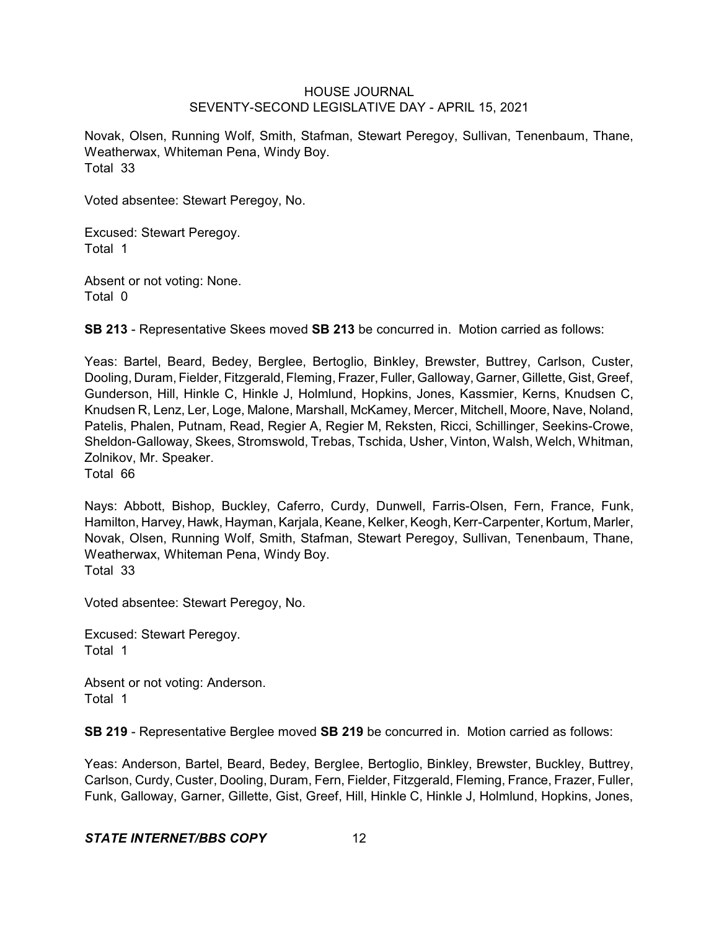Novak, Olsen, Running Wolf, Smith, Stafman, Stewart Peregoy, Sullivan, Tenenbaum, Thane, Weatherwax, Whiteman Pena, Windy Boy. Total 33

Voted absentee: Stewart Peregoy, No.

Excused: Stewart Peregoy. Total 1

Absent or not voting: None. Total 0

**SB 213** - Representative Skees moved **SB 213** be concurred in. Motion carried as follows:

Yeas: Bartel, Beard, Bedey, Berglee, Bertoglio, Binkley, Brewster, Buttrey, Carlson, Custer, Dooling, Duram, Fielder, Fitzgerald, Fleming, Frazer, Fuller, Galloway, Garner, Gillette, Gist, Greef, Gunderson, Hill, Hinkle C, Hinkle J, Holmlund, Hopkins, Jones, Kassmier, Kerns, Knudsen C, Knudsen R, Lenz, Ler, Loge, Malone, Marshall, McKamey, Mercer, Mitchell, Moore, Nave, Noland, Patelis, Phalen, Putnam, Read, Regier A, Regier M, Reksten, Ricci, Schillinger, Seekins-Crowe, Sheldon-Galloway, Skees, Stromswold, Trebas, Tschida, Usher, Vinton, Walsh, Welch, Whitman, Zolnikov, Mr. Speaker.

Total 66

Nays: Abbott, Bishop, Buckley, Caferro, Curdy, Dunwell, Farris-Olsen, Fern, France, Funk, Hamilton, Harvey, Hawk, Hayman, Karjala, Keane, Kelker, Keogh, Kerr-Carpenter, Kortum, Marler, Novak, Olsen, Running Wolf, Smith, Stafman, Stewart Peregoy, Sullivan, Tenenbaum, Thane, Weatherwax, Whiteman Pena, Windy Boy. Total 33

Voted absentee: Stewart Peregoy, No.

Excused: Stewart Peregoy. Total 1

Absent or not voting: Anderson. Total 1

**SB 219** - Representative Berglee moved **SB 219** be concurred in. Motion carried as follows:

Yeas: Anderson, Bartel, Beard, Bedey, Berglee, Bertoglio, Binkley, Brewster, Buckley, Buttrey, Carlson, Curdy, Custer, Dooling, Duram, Fern, Fielder, Fitzgerald, Fleming, France, Frazer, Fuller, Funk, Galloway, Garner, Gillette, Gist, Greef, Hill, Hinkle C, Hinkle J, Holmlund, Hopkins, Jones,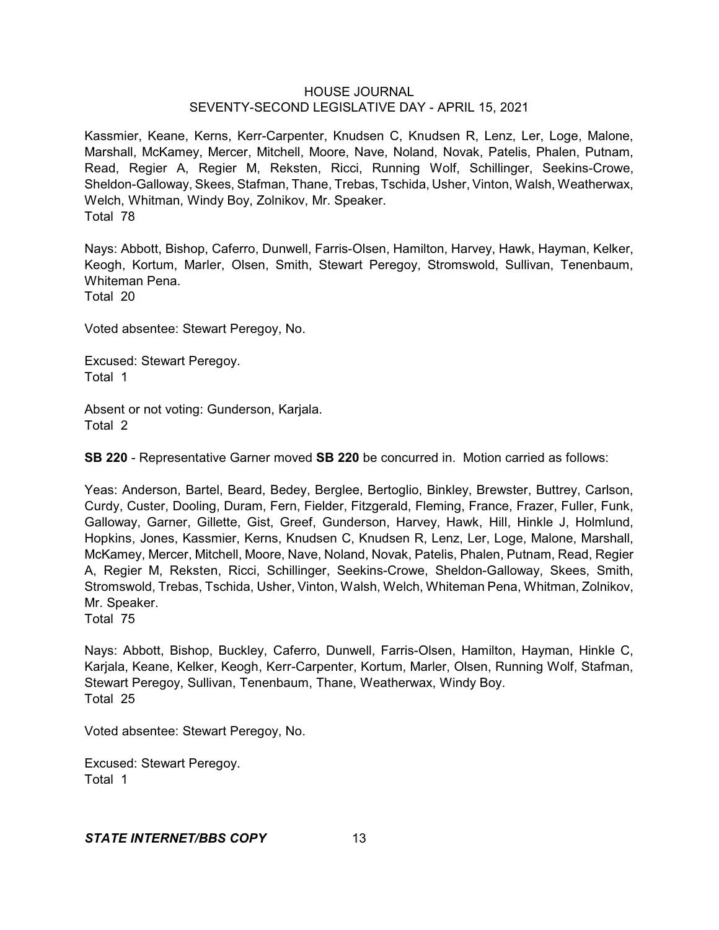Kassmier, Keane, Kerns, Kerr-Carpenter, Knudsen C, Knudsen R, Lenz, Ler, Loge, Malone, Marshall, McKamey, Mercer, Mitchell, Moore, Nave, Noland, Novak, Patelis, Phalen, Putnam, Read, Regier A, Regier M, Reksten, Ricci, Running Wolf, Schillinger, Seekins-Crowe, Sheldon-Galloway, Skees, Stafman, Thane, Trebas, Tschida, Usher, Vinton, Walsh, Weatherwax, Welch, Whitman, Windy Boy, Zolnikov, Mr. Speaker. Total 78

Nays: Abbott, Bishop, Caferro, Dunwell, Farris-Olsen, Hamilton, Harvey, Hawk, Hayman, Kelker, Keogh, Kortum, Marler, Olsen, Smith, Stewart Peregoy, Stromswold, Sullivan, Tenenbaum, Whiteman Pena. Total 20

Voted absentee: Stewart Peregoy, No.

Excused: Stewart Peregoy. Total 1

Absent or not voting: Gunderson, Karjala. Total 2

**SB 220** - Representative Garner moved **SB 220** be concurred in. Motion carried as follows:

Yeas: Anderson, Bartel, Beard, Bedey, Berglee, Bertoglio, Binkley, Brewster, Buttrey, Carlson, Curdy, Custer, Dooling, Duram, Fern, Fielder, Fitzgerald, Fleming, France, Frazer, Fuller, Funk, Galloway, Garner, Gillette, Gist, Greef, Gunderson, Harvey, Hawk, Hill, Hinkle J, Holmlund, Hopkins, Jones, Kassmier, Kerns, Knudsen C, Knudsen R, Lenz, Ler, Loge, Malone, Marshall, McKamey, Mercer, Mitchell, Moore, Nave, Noland, Novak, Patelis, Phalen, Putnam, Read, Regier A, Regier M, Reksten, Ricci, Schillinger, Seekins-Crowe, Sheldon-Galloway, Skees, Smith, Stromswold, Trebas, Tschida, Usher, Vinton, Walsh, Welch, Whiteman Pena, Whitman, Zolnikov, Mr. Speaker.

Total 75

Nays: Abbott, Bishop, Buckley, Caferro, Dunwell, Farris-Olsen, Hamilton, Hayman, Hinkle C, Karjala, Keane, Kelker, Keogh, Kerr-Carpenter, Kortum, Marler, Olsen, Running Wolf, Stafman, Stewart Peregoy, Sullivan, Tenenbaum, Thane, Weatherwax, Windy Boy. Total 25

Voted absentee: Stewart Peregoy, No.

Excused: Stewart Peregoy. Total 1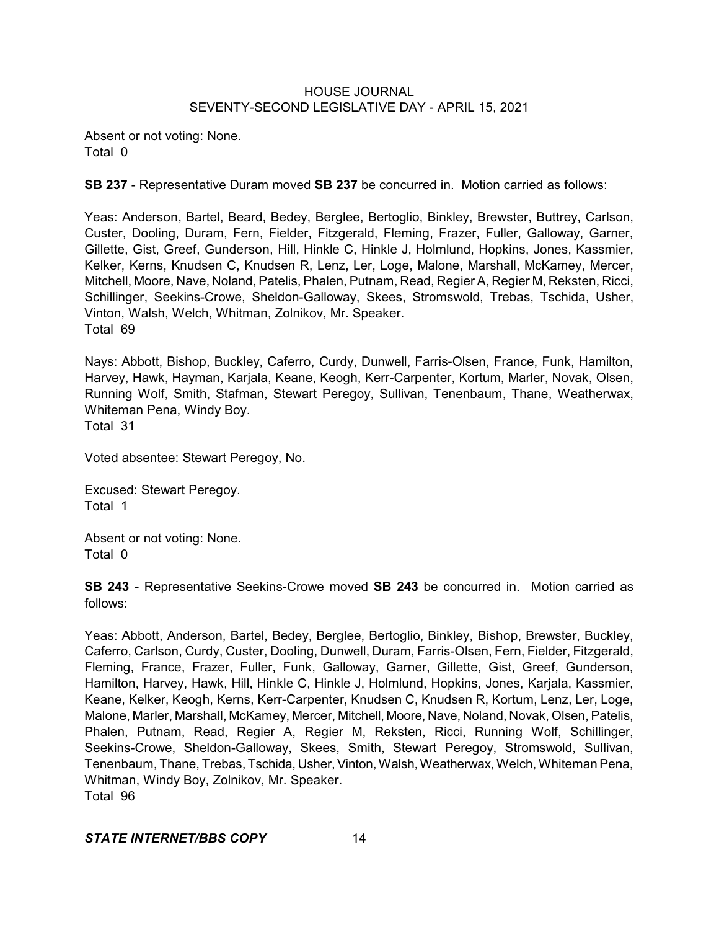Absent or not voting: None. Total 0

**SB 237** - Representative Duram moved **SB 237** be concurred in. Motion carried as follows:

Yeas: Anderson, Bartel, Beard, Bedey, Berglee, Bertoglio, Binkley, Brewster, Buttrey, Carlson, Custer, Dooling, Duram, Fern, Fielder, Fitzgerald, Fleming, Frazer, Fuller, Galloway, Garner, Gillette, Gist, Greef, Gunderson, Hill, Hinkle C, Hinkle J, Holmlund, Hopkins, Jones, Kassmier, Kelker, Kerns, Knudsen C, Knudsen R, Lenz, Ler, Loge, Malone, Marshall, McKamey, Mercer, Mitchell, Moore, Nave, Noland, Patelis, Phalen, Putnam, Read, Regier A, Regier M, Reksten, Ricci, Schillinger, Seekins-Crowe, Sheldon-Galloway, Skees, Stromswold, Trebas, Tschida, Usher, Vinton, Walsh, Welch, Whitman, Zolnikov, Mr. Speaker. Total 69

Nays: Abbott, Bishop, Buckley, Caferro, Curdy, Dunwell, Farris-Olsen, France, Funk, Hamilton, Harvey, Hawk, Hayman, Karjala, Keane, Keogh, Kerr-Carpenter, Kortum, Marler, Novak, Olsen, Running Wolf, Smith, Stafman, Stewart Peregoy, Sullivan, Tenenbaum, Thane, Weatherwax, Whiteman Pena, Windy Boy.

Total 31

Voted absentee: Stewart Peregoy, No.

Excused: Stewart Peregoy. Total 1

Absent or not voting: None. Total 0

**SB 243** - Representative Seekins-Crowe moved **SB 243** be concurred in. Motion carried as follows:

Yeas: Abbott, Anderson, Bartel, Bedey, Berglee, Bertoglio, Binkley, Bishop, Brewster, Buckley, Caferro, Carlson, Curdy, Custer, Dooling, Dunwell, Duram, Farris-Olsen, Fern, Fielder, Fitzgerald, Fleming, France, Frazer, Fuller, Funk, Galloway, Garner, Gillette, Gist, Greef, Gunderson, Hamilton, Harvey, Hawk, Hill, Hinkle C, Hinkle J, Holmlund, Hopkins, Jones, Karjala, Kassmier, Keane, Kelker, Keogh, Kerns, Kerr-Carpenter, Knudsen C, Knudsen R, Kortum, Lenz, Ler, Loge, Malone, Marler, Marshall, McKamey, Mercer, Mitchell, Moore, Nave, Noland, Novak, Olsen, Patelis, Phalen, Putnam, Read, Regier A, Regier M, Reksten, Ricci, Running Wolf, Schillinger, Seekins-Crowe, Sheldon-Galloway, Skees, Smith, Stewart Peregoy, Stromswold, Sullivan, Tenenbaum, Thane, Trebas, Tschida, Usher,Vinton, Walsh,Weatherwax, Welch, Whiteman Pena, Whitman, Windy Boy, Zolnikov, Mr. Speaker. Total 96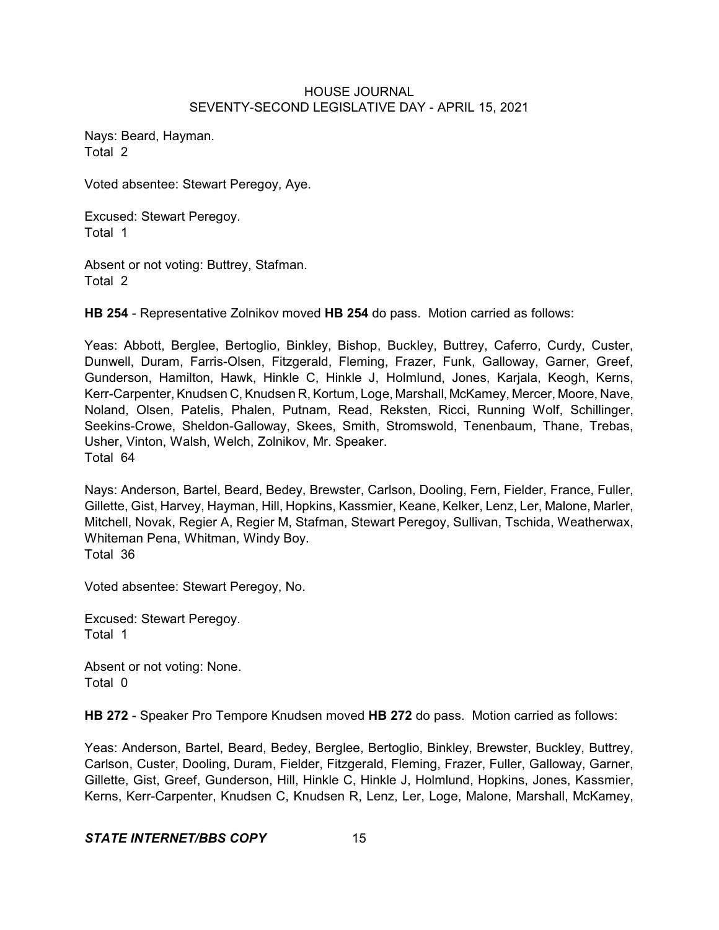Nays: Beard, Hayman. Total 2

Voted absentee: Stewart Peregoy, Aye.

Excused: Stewart Peregoy. Total 1

Absent or not voting: Buttrey, Stafman. Total 2

**HB 254** - Representative Zolnikov moved **HB 254** do pass. Motion carried as follows:

Yeas: Abbott, Berglee, Bertoglio, Binkley, Bishop, Buckley, Buttrey, Caferro, Curdy, Custer, Dunwell, Duram, Farris-Olsen, Fitzgerald, Fleming, Frazer, Funk, Galloway, Garner, Greef, Gunderson, Hamilton, Hawk, Hinkle C, Hinkle J, Holmlund, Jones, Karjala, Keogh, Kerns, Kerr-Carpenter, Knudsen C, Knudsen R, Kortum, Loge, Marshall, McKamey, Mercer, Moore, Nave, Noland, Olsen, Patelis, Phalen, Putnam, Read, Reksten, Ricci, Running Wolf, Schillinger, Seekins-Crowe, Sheldon-Galloway, Skees, Smith, Stromswold, Tenenbaum, Thane, Trebas, Usher, Vinton, Walsh, Welch, Zolnikov, Mr. Speaker. Total 64

Nays: Anderson, Bartel, Beard, Bedey, Brewster, Carlson, Dooling, Fern, Fielder, France, Fuller, Gillette, Gist, Harvey, Hayman, Hill, Hopkins, Kassmier, Keane, Kelker, Lenz, Ler, Malone, Marler, Mitchell, Novak, Regier A, Regier M, Stafman, Stewart Peregoy, Sullivan, Tschida, Weatherwax, Whiteman Pena, Whitman, Windy Boy. Total 36

Voted absentee: Stewart Peregoy, No.

Excused: Stewart Peregoy. Total 1

Absent or not voting: None. Total 0

**HB 272** - Speaker Pro Tempore Knudsen moved **HB 272** do pass. Motion carried as follows:

Yeas: Anderson, Bartel, Beard, Bedey, Berglee, Bertoglio, Binkley, Brewster, Buckley, Buttrey, Carlson, Custer, Dooling, Duram, Fielder, Fitzgerald, Fleming, Frazer, Fuller, Galloway, Garner, Gillette, Gist, Greef, Gunderson, Hill, Hinkle C, Hinkle J, Holmlund, Hopkins, Jones, Kassmier, Kerns, Kerr-Carpenter, Knudsen C, Knudsen R, Lenz, Ler, Loge, Malone, Marshall, McKamey,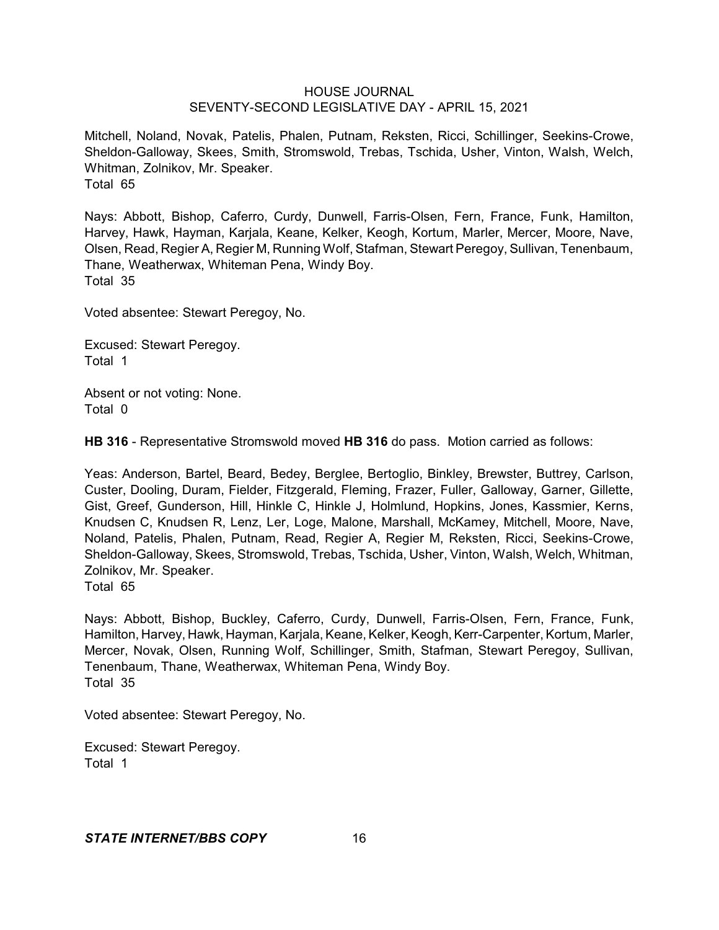Mitchell, Noland, Novak, Patelis, Phalen, Putnam, Reksten, Ricci, Schillinger, Seekins-Crowe, Sheldon-Galloway, Skees, Smith, Stromswold, Trebas, Tschida, Usher, Vinton, Walsh, Welch, Whitman, Zolnikov, Mr. Speaker. Total 65

Nays: Abbott, Bishop, Caferro, Curdy, Dunwell, Farris-Olsen, Fern, France, Funk, Hamilton, Harvey, Hawk, Hayman, Karjala, Keane, Kelker, Keogh, Kortum, Marler, Mercer, Moore, Nave, Olsen, Read, Regier A, Regier M, Running Wolf, Stafman, Stewart Peregoy, Sullivan, Tenenbaum, Thane, Weatherwax, Whiteman Pena, Windy Boy. Total 35

Voted absentee: Stewart Peregoy, No.

Excused: Stewart Peregoy. Total 1

Absent or not voting: None. Total 0

**HB 316** - Representative Stromswold moved **HB 316** do pass. Motion carried as follows:

Yeas: Anderson, Bartel, Beard, Bedey, Berglee, Bertoglio, Binkley, Brewster, Buttrey, Carlson, Custer, Dooling, Duram, Fielder, Fitzgerald, Fleming, Frazer, Fuller, Galloway, Garner, Gillette, Gist, Greef, Gunderson, Hill, Hinkle C, Hinkle J, Holmlund, Hopkins, Jones, Kassmier, Kerns, Knudsen C, Knudsen R, Lenz, Ler, Loge, Malone, Marshall, McKamey, Mitchell, Moore, Nave, Noland, Patelis, Phalen, Putnam, Read, Regier A, Regier M, Reksten, Ricci, Seekins-Crowe, Sheldon-Galloway, Skees, Stromswold, Trebas, Tschida, Usher, Vinton, Walsh, Welch, Whitman, Zolnikov, Mr. Speaker.

Total 65

Nays: Abbott, Bishop, Buckley, Caferro, Curdy, Dunwell, Farris-Olsen, Fern, France, Funk, Hamilton, Harvey, Hawk, Hayman, Karjala, Keane, Kelker, Keogh,Kerr-Carpenter, Kortum, Marler, Mercer, Novak, Olsen, Running Wolf, Schillinger, Smith, Stafman, Stewart Peregoy, Sullivan, Tenenbaum, Thane, Weatherwax, Whiteman Pena, Windy Boy. Total 35

Voted absentee: Stewart Peregoy, No.

Excused: Stewart Peregoy. Total 1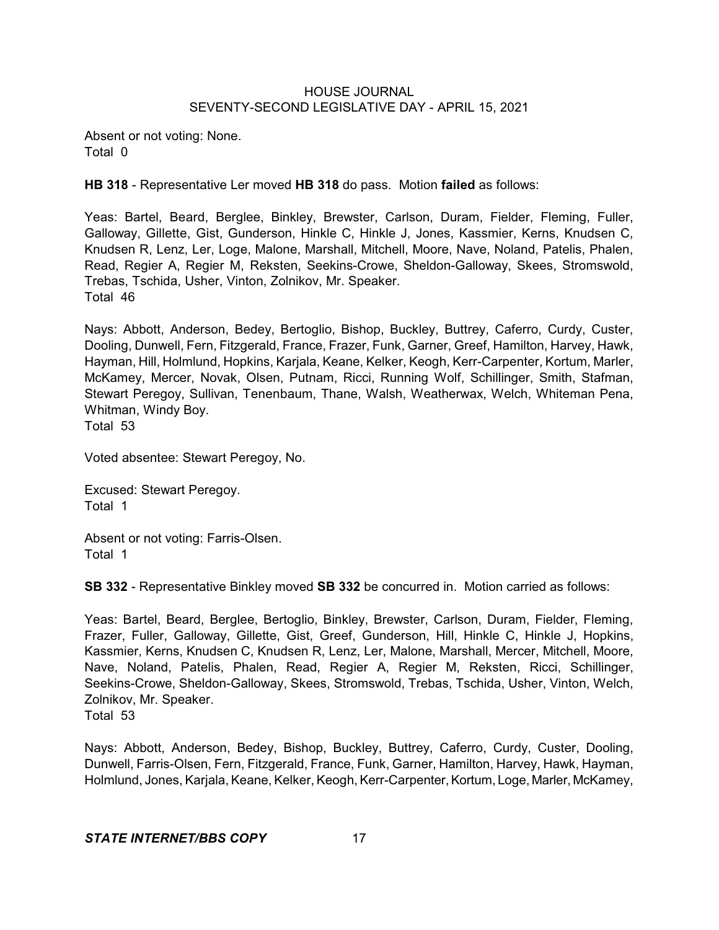Absent or not voting: None. Total 0

**HB 318** - Representative Ler moved **HB 318** do pass. Motion **failed** as follows:

Yeas: Bartel, Beard, Berglee, Binkley, Brewster, Carlson, Duram, Fielder, Fleming, Fuller, Galloway, Gillette, Gist, Gunderson, Hinkle C, Hinkle J, Jones, Kassmier, Kerns, Knudsen C, Knudsen R, Lenz, Ler, Loge, Malone, Marshall, Mitchell, Moore, Nave, Noland, Patelis, Phalen, Read, Regier A, Regier M, Reksten, Seekins-Crowe, Sheldon-Galloway, Skees, Stromswold, Trebas, Tschida, Usher, Vinton, Zolnikov, Mr. Speaker. Total 46

Nays: Abbott, Anderson, Bedey, Bertoglio, Bishop, Buckley, Buttrey, Caferro, Curdy, Custer, Dooling, Dunwell, Fern, Fitzgerald, France, Frazer, Funk, Garner, Greef, Hamilton, Harvey, Hawk, Hayman, Hill, Holmlund, Hopkins, Karjala, Keane, Kelker, Keogh, Kerr-Carpenter, Kortum, Marler, McKamey, Mercer, Novak, Olsen, Putnam, Ricci, Running Wolf, Schillinger, Smith, Stafman, Stewart Peregoy, Sullivan, Tenenbaum, Thane, Walsh, Weatherwax, Welch, Whiteman Pena, Whitman, Windy Boy.

Total 53

Voted absentee: Stewart Peregoy, No.

Excused: Stewart Peregoy. Total 1

Absent or not voting: Farris-Olsen. Total 1

**SB 332** - Representative Binkley moved **SB 332** be concurred in. Motion carried as follows:

Yeas: Bartel, Beard, Berglee, Bertoglio, Binkley, Brewster, Carlson, Duram, Fielder, Fleming, Frazer, Fuller, Galloway, Gillette, Gist, Greef, Gunderson, Hill, Hinkle C, Hinkle J, Hopkins, Kassmier, Kerns, Knudsen C, Knudsen R, Lenz, Ler, Malone, Marshall, Mercer, Mitchell, Moore, Nave, Noland, Patelis, Phalen, Read, Regier A, Regier M, Reksten, Ricci, Schillinger, Seekins-Crowe, Sheldon-Galloway, Skees, Stromswold, Trebas, Tschida, Usher, Vinton, Welch, Zolnikov, Mr. Speaker.

Total 53

Nays: Abbott, Anderson, Bedey, Bishop, Buckley, Buttrey, Caferro, Curdy, Custer, Dooling, Dunwell, Farris-Olsen, Fern, Fitzgerald, France, Funk, Garner, Hamilton, Harvey, Hawk, Hayman, Holmlund, Jones, Karjala, Keane, Kelker, Keogh, Kerr-Carpenter,Kortum, Loge, Marler, McKamey,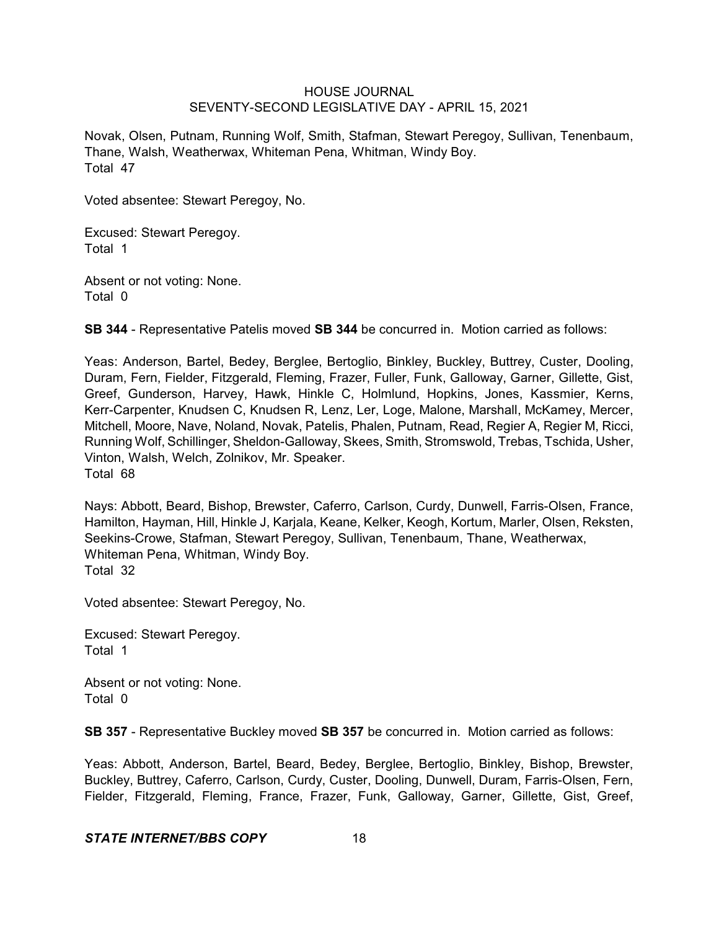Novak, Olsen, Putnam, Running Wolf, Smith, Stafman, Stewart Peregoy, Sullivan, Tenenbaum, Thane, Walsh, Weatherwax, Whiteman Pena, Whitman, Windy Boy. Total 47

Voted absentee: Stewart Peregoy, No.

Excused: Stewart Peregoy. Total 1

Absent or not voting: None. Total 0

**SB 344** - Representative Patelis moved **SB 344** be concurred in. Motion carried as follows:

Yeas: Anderson, Bartel, Bedey, Berglee, Bertoglio, Binkley, Buckley, Buttrey, Custer, Dooling, Duram, Fern, Fielder, Fitzgerald, Fleming, Frazer, Fuller, Funk, Galloway, Garner, Gillette, Gist, Greef, Gunderson, Harvey, Hawk, Hinkle C, Holmlund, Hopkins, Jones, Kassmier, Kerns, Kerr-Carpenter, Knudsen C, Knudsen R, Lenz, Ler, Loge, Malone, Marshall, McKamey, Mercer, Mitchell, Moore, Nave, Noland, Novak, Patelis, Phalen, Putnam, Read, Regier A, Regier M, Ricci, Running Wolf, Schillinger, Sheldon-Galloway, Skees, Smith, Stromswold, Trebas, Tschida, Usher, Vinton, Walsh, Welch, Zolnikov, Mr. Speaker. Total 68

Nays: Abbott, Beard, Bishop, Brewster, Caferro, Carlson, Curdy, Dunwell, Farris-Olsen, France, Hamilton, Hayman, Hill, Hinkle J, Karjala, Keane, Kelker, Keogh, Kortum, Marler, Olsen, Reksten, Seekins-Crowe, Stafman, Stewart Peregoy, Sullivan, Tenenbaum, Thane, Weatherwax, Whiteman Pena, Whitman, Windy Boy. Total 32

Voted absentee: Stewart Peregoy, No.

Excused: Stewart Peregoy. Total 1

Absent or not voting: None. Total 0

**SB 357** - Representative Buckley moved **SB 357** be concurred in. Motion carried as follows:

Yeas: Abbott, Anderson, Bartel, Beard, Bedey, Berglee, Bertoglio, Binkley, Bishop, Brewster, Buckley, Buttrey, Caferro, Carlson, Curdy, Custer, Dooling, Dunwell, Duram, Farris-Olsen, Fern, Fielder, Fitzgerald, Fleming, France, Frazer, Funk, Galloway, Garner, Gillette, Gist, Greef,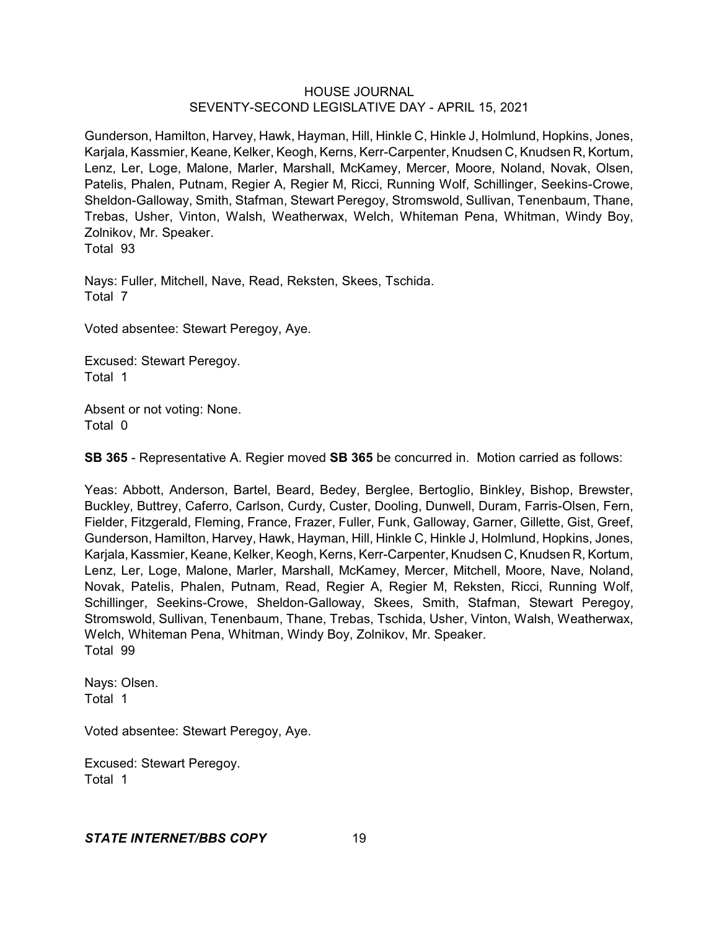Gunderson, Hamilton, Harvey, Hawk, Hayman, Hill, Hinkle C, Hinkle J, Holmlund, Hopkins, Jones, Karjala, Kassmier, Keane, Kelker, Keogh, Kerns, Kerr-Carpenter, Knudsen C, Knudsen R, Kortum, Lenz, Ler, Loge, Malone, Marler, Marshall, McKamey, Mercer, Moore, Noland, Novak, Olsen, Patelis, Phalen, Putnam, Regier A, Regier M, Ricci, Running Wolf, Schillinger, Seekins-Crowe, Sheldon-Galloway, Smith, Stafman, Stewart Peregoy, Stromswold, Sullivan, Tenenbaum, Thane, Trebas, Usher, Vinton, Walsh, Weatherwax, Welch, Whiteman Pena, Whitman, Windy Boy, Zolnikov, Mr. Speaker.

Total 93

Nays: Fuller, Mitchell, Nave, Read, Reksten, Skees, Tschida. Total 7

Voted absentee: Stewart Peregoy, Aye.

Excused: Stewart Peregoy. Total 1

Absent or not voting: None. Total 0

**SB 365** - Representative A. Regier moved **SB 365** be concurred in. Motion carried as follows:

Yeas: Abbott, Anderson, Bartel, Beard, Bedey, Berglee, Bertoglio, Binkley, Bishop, Brewster, Buckley, Buttrey, Caferro, Carlson, Curdy, Custer, Dooling, Dunwell, Duram, Farris-Olsen, Fern, Fielder, Fitzgerald, Fleming, France, Frazer, Fuller, Funk, Galloway, Garner, Gillette, Gist, Greef, Gunderson, Hamilton, Harvey, Hawk, Hayman, Hill, Hinkle C, Hinkle J, Holmlund, Hopkins, Jones, Karjala, Kassmier, Keane, Kelker, Keogh, Kerns, Kerr-Carpenter, Knudsen C, Knudsen R, Kortum, Lenz, Ler, Loge, Malone, Marler, Marshall, McKamey, Mercer, Mitchell, Moore, Nave, Noland, Novak, Patelis, Phalen, Putnam, Read, Regier A, Regier M, Reksten, Ricci, Running Wolf, Schillinger, Seekins-Crowe, Sheldon-Galloway, Skees, Smith, Stafman, Stewart Peregoy, Stromswold, Sullivan, Tenenbaum, Thane, Trebas, Tschida, Usher, Vinton, Walsh, Weatherwax, Welch, Whiteman Pena, Whitman, Windy Boy, Zolnikov, Mr. Speaker. Total 99

Nays: Olsen. Total 1

Voted absentee: Stewart Peregoy, Aye.

Excused: Stewart Peregoy. Total 1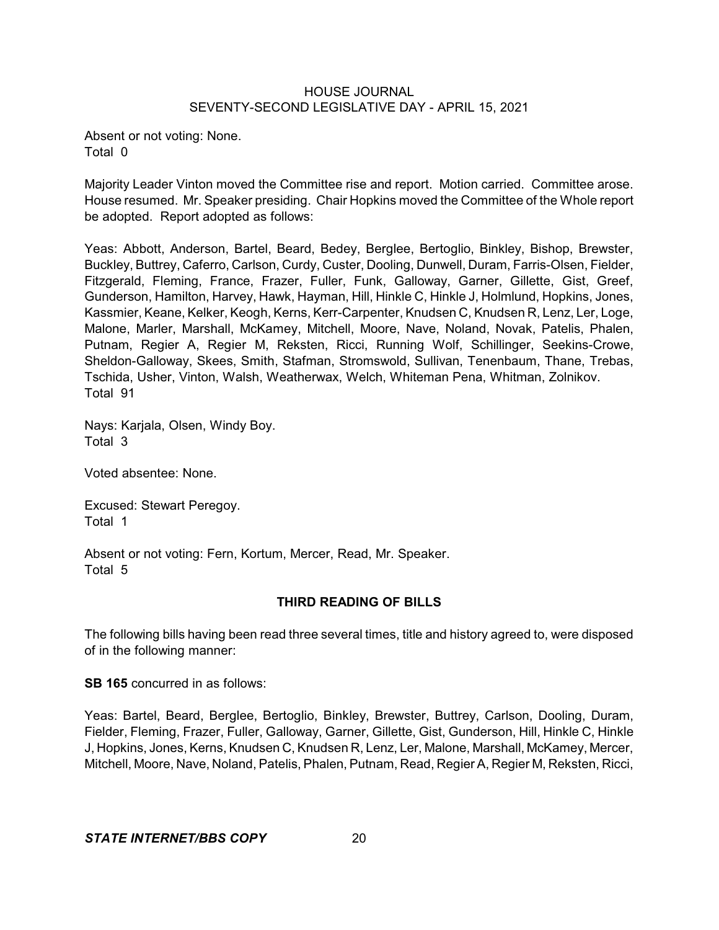Absent or not voting: None. Total 0

Majority Leader Vinton moved the Committee rise and report. Motion carried. Committee arose. House resumed. Mr. Speaker presiding. Chair Hopkins moved the Committee of the Whole report be adopted. Report adopted as follows:

Yeas: Abbott, Anderson, Bartel, Beard, Bedey, Berglee, Bertoglio, Binkley, Bishop, Brewster, Buckley, Buttrey, Caferro, Carlson, Curdy, Custer, Dooling, Dunwell, Duram, Farris-Olsen, Fielder, Fitzgerald, Fleming, France, Frazer, Fuller, Funk, Galloway, Garner, Gillette, Gist, Greef, Gunderson, Hamilton, Harvey, Hawk, Hayman, Hill, Hinkle C, Hinkle J, Holmlund, Hopkins, Jones, Kassmier, Keane, Kelker, Keogh, Kerns, Kerr-Carpenter, Knudsen C, Knudsen R, Lenz, Ler, Loge, Malone, Marler, Marshall, McKamey, Mitchell, Moore, Nave, Noland, Novak, Patelis, Phalen, Putnam, Regier A, Regier M, Reksten, Ricci, Running Wolf, Schillinger, Seekins-Crowe, Sheldon-Galloway, Skees, Smith, Stafman, Stromswold, Sullivan, Tenenbaum, Thane, Trebas, Tschida, Usher, Vinton, Walsh, Weatherwax, Welch, Whiteman Pena, Whitman, Zolnikov. Total 91

Nays: Karjala, Olsen, Windy Boy. Total 3

Voted absentee: None.

Excused: Stewart Peregoy. Total 1

Absent or not voting: Fern, Kortum, Mercer, Read, Mr. Speaker. Total 5

# **THIRD READING OF BILLS**

The following bills having been read three several times, title and history agreed to, were disposed of in the following manner:

**SB 165** concurred in as follows:

Yeas: Bartel, Beard, Berglee, Bertoglio, Binkley, Brewster, Buttrey, Carlson, Dooling, Duram, Fielder, Fleming, Frazer, Fuller, Galloway, Garner, Gillette, Gist, Gunderson, Hill, Hinkle C, Hinkle J, Hopkins, Jones, Kerns, Knudsen C, Knudsen R, Lenz, Ler, Malone, Marshall, McKamey, Mercer, Mitchell, Moore, Nave, Noland, Patelis, Phalen, Putnam, Read, Regier A, Regier M, Reksten, Ricci,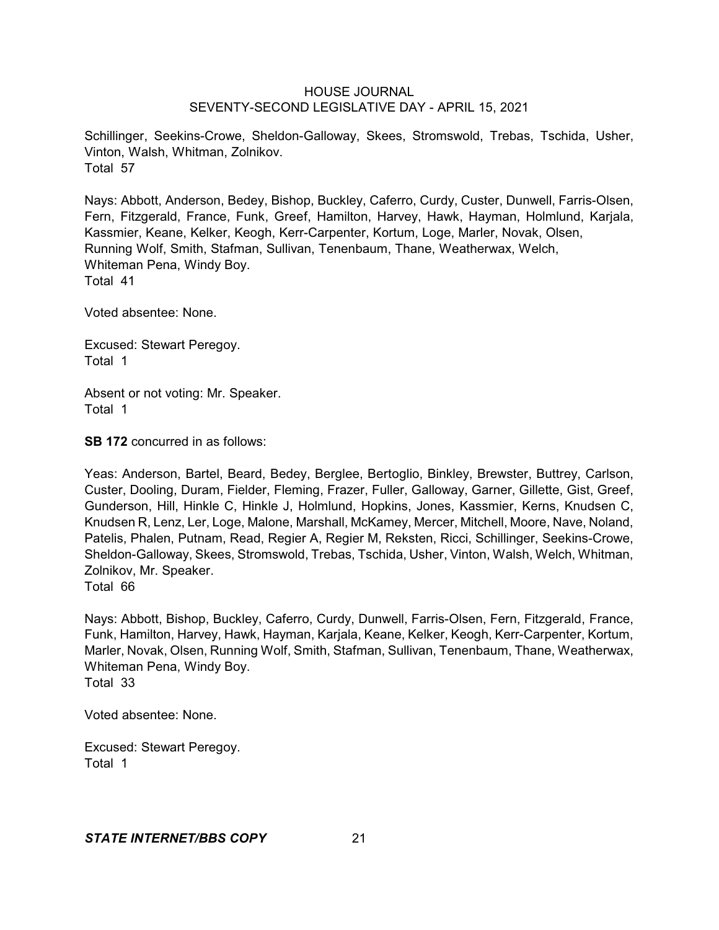Schillinger, Seekins-Crowe, Sheldon-Galloway, Skees, Stromswold, Trebas, Tschida, Usher, Vinton, Walsh, Whitman, Zolnikov. Total 57

Nays: Abbott, Anderson, Bedey, Bishop, Buckley, Caferro, Curdy, Custer, Dunwell, Farris-Olsen, Fern, Fitzgerald, France, Funk, Greef, Hamilton, Harvey, Hawk, Hayman, Holmlund, Karjala, Kassmier, Keane, Kelker, Keogh, Kerr-Carpenter, Kortum, Loge, Marler, Novak, Olsen, Running Wolf, Smith, Stafman, Sullivan, Tenenbaum, Thane, Weatherwax, Welch, Whiteman Pena, Windy Boy. Total 41

Voted absentee: None.

Excused: Stewart Peregoy. Total 1

Absent or not voting: Mr. Speaker. Total 1

**SB 172** concurred in as follows:

Yeas: Anderson, Bartel, Beard, Bedey, Berglee, Bertoglio, Binkley, Brewster, Buttrey, Carlson, Custer, Dooling, Duram, Fielder, Fleming, Frazer, Fuller, Galloway, Garner, Gillette, Gist, Greef, Gunderson, Hill, Hinkle C, Hinkle J, Holmlund, Hopkins, Jones, Kassmier, Kerns, Knudsen C, Knudsen R, Lenz, Ler, Loge, Malone, Marshall, McKamey, Mercer, Mitchell, Moore, Nave, Noland, Patelis, Phalen, Putnam, Read, Regier A, Regier M, Reksten, Ricci, Schillinger, Seekins-Crowe, Sheldon-Galloway, Skees, Stromswold, Trebas, Tschida, Usher, Vinton, Walsh, Welch, Whitman, Zolnikov, Mr. Speaker.

Total 66

Nays: Abbott, Bishop, Buckley, Caferro, Curdy, Dunwell, Farris-Olsen, Fern, Fitzgerald, France, Funk, Hamilton, Harvey, Hawk, Hayman, Karjala, Keane, Kelker, Keogh, Kerr-Carpenter, Kortum, Marler, Novak, Olsen, Running Wolf, Smith, Stafman, Sullivan, Tenenbaum, Thane, Weatherwax, Whiteman Pena, Windy Boy. Total 33

Voted absentee: None.

Excused: Stewart Peregoy. Total 1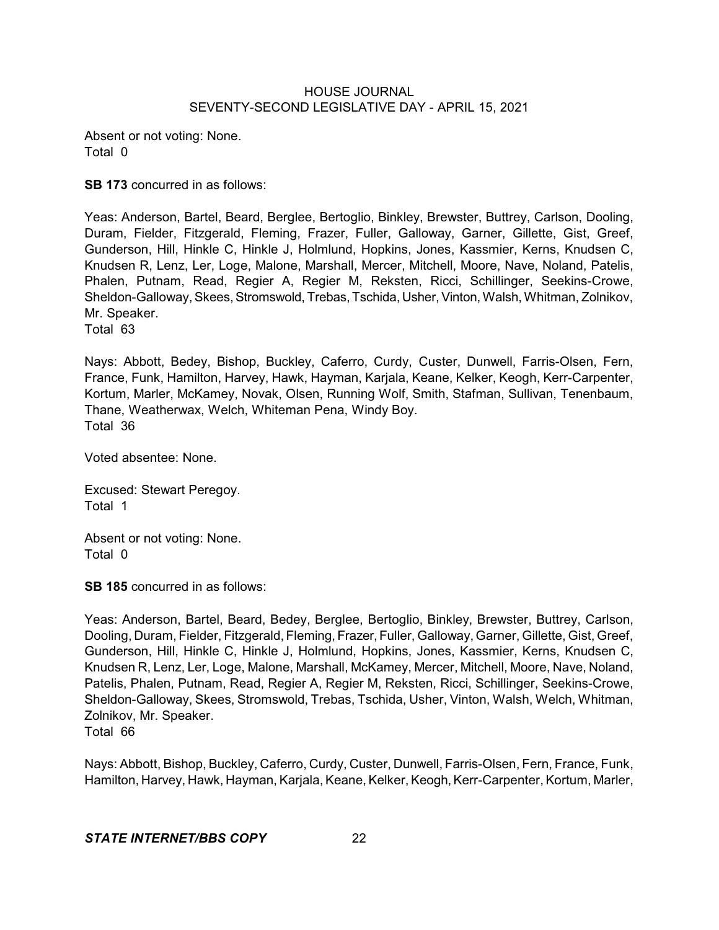Absent or not voting: None. Total 0

**SB 173** concurred in as follows:

Yeas: Anderson, Bartel, Beard, Berglee, Bertoglio, Binkley, Brewster, Buttrey, Carlson, Dooling, Duram, Fielder, Fitzgerald, Fleming, Frazer, Fuller, Galloway, Garner, Gillette, Gist, Greef, Gunderson, Hill, Hinkle C, Hinkle J, Holmlund, Hopkins, Jones, Kassmier, Kerns, Knudsen C, Knudsen R, Lenz, Ler, Loge, Malone, Marshall, Mercer, Mitchell, Moore, Nave, Noland, Patelis, Phalen, Putnam, Read, Regier A, Regier M, Reksten, Ricci, Schillinger, Seekins-Crowe, Sheldon-Galloway, Skees, Stromswold, Trebas, Tschida, Usher, Vinton, Walsh, Whitman, Zolnikov, Mr. Speaker.

Total 63

Nays: Abbott, Bedey, Bishop, Buckley, Caferro, Curdy, Custer, Dunwell, Farris-Olsen, Fern, France, Funk, Hamilton, Harvey, Hawk, Hayman, Karjala, Keane, Kelker, Keogh, Kerr-Carpenter, Kortum, Marler, McKamey, Novak, Olsen, Running Wolf, Smith, Stafman, Sullivan, Tenenbaum, Thane, Weatherwax, Welch, Whiteman Pena, Windy Boy. Total 36

Voted absentee: None.

Excused: Stewart Peregoy. Total 1

Absent or not voting: None. Total 0

**SB 185** concurred in as follows:

Yeas: Anderson, Bartel, Beard, Bedey, Berglee, Bertoglio, Binkley, Brewster, Buttrey, Carlson, Dooling, Duram, Fielder, Fitzgerald, Fleming, Frazer, Fuller, Galloway, Garner, Gillette, Gist, Greef, Gunderson, Hill, Hinkle C, Hinkle J, Holmlund, Hopkins, Jones, Kassmier, Kerns, Knudsen C, Knudsen R, Lenz, Ler, Loge, Malone, Marshall, McKamey, Mercer, Mitchell, Moore, Nave, Noland, Patelis, Phalen, Putnam, Read, Regier A, Regier M, Reksten, Ricci, Schillinger, Seekins-Crowe, Sheldon-Galloway, Skees, Stromswold, Trebas, Tschida, Usher, Vinton, Walsh, Welch, Whitman, Zolnikov, Mr. Speaker. Total 66

Nays: Abbott, Bishop, Buckley, Caferro, Curdy, Custer, Dunwell, Farris-Olsen, Fern, France, Funk, Hamilton, Harvey, Hawk, Hayman, Karjala, Keane, Kelker, Keogh,Kerr-Carpenter, Kortum, Marler,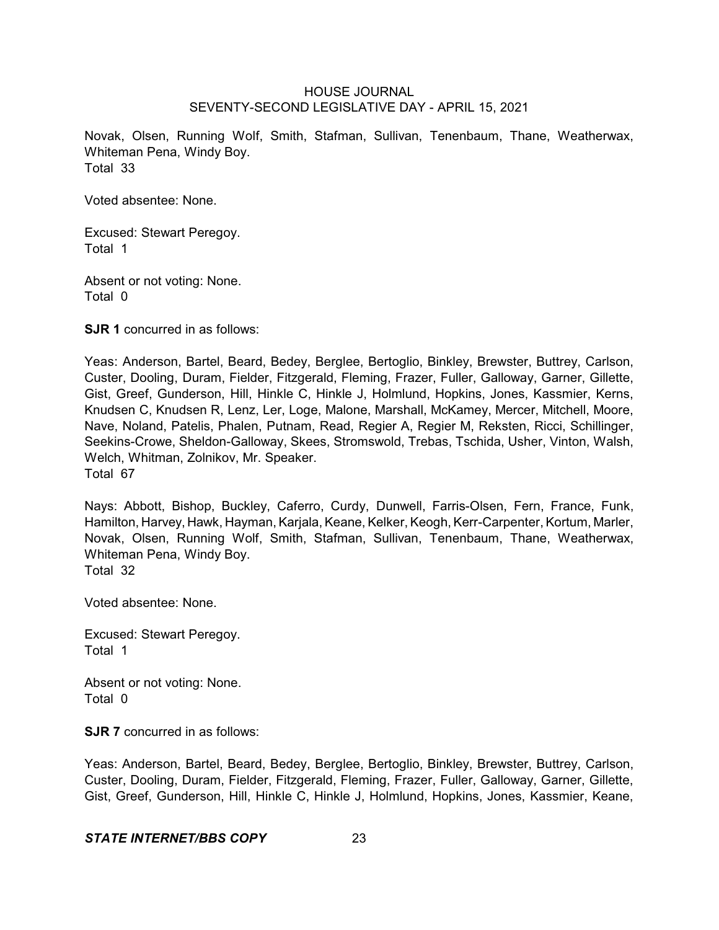Novak, Olsen, Running Wolf, Smith, Stafman, Sullivan, Tenenbaum, Thane, Weatherwax, Whiteman Pena, Windy Boy. Total 33

Voted absentee: None.

Excused: Stewart Peregoy. Total 1

Absent or not voting: None. Total 0

**SJR 1** concurred in as follows:

Yeas: Anderson, Bartel, Beard, Bedey, Berglee, Bertoglio, Binkley, Brewster, Buttrey, Carlson, Custer, Dooling, Duram, Fielder, Fitzgerald, Fleming, Frazer, Fuller, Galloway, Garner, Gillette, Gist, Greef, Gunderson, Hill, Hinkle C, Hinkle J, Holmlund, Hopkins, Jones, Kassmier, Kerns, Knudsen C, Knudsen R, Lenz, Ler, Loge, Malone, Marshall, McKamey, Mercer, Mitchell, Moore, Nave, Noland, Patelis, Phalen, Putnam, Read, Regier A, Regier M, Reksten, Ricci, Schillinger, Seekins-Crowe, Sheldon-Galloway, Skees, Stromswold, Trebas, Tschida, Usher, Vinton, Walsh, Welch, Whitman, Zolnikov, Mr. Speaker. Total 67

Nays: Abbott, Bishop, Buckley, Caferro, Curdy, Dunwell, Farris-Olsen, Fern, France, Funk, Hamilton, Harvey, Hawk, Hayman, Karjala, Keane, Kelker, Keogh, Kerr-Carpenter, Kortum, Marler, Novak, Olsen, Running Wolf, Smith, Stafman, Sullivan, Tenenbaum, Thane, Weatherwax, Whiteman Pena, Windy Boy. Total 32

Voted absentee: None.

Excused: Stewart Peregoy. Total 1

Absent or not voting: None. Total 0

**SJR 7** concurred in as follows:

Yeas: Anderson, Bartel, Beard, Bedey, Berglee, Bertoglio, Binkley, Brewster, Buttrey, Carlson, Custer, Dooling, Duram, Fielder, Fitzgerald, Fleming, Frazer, Fuller, Galloway, Garner, Gillette, Gist, Greef, Gunderson, Hill, Hinkle C, Hinkle J, Holmlund, Hopkins, Jones, Kassmier, Keane,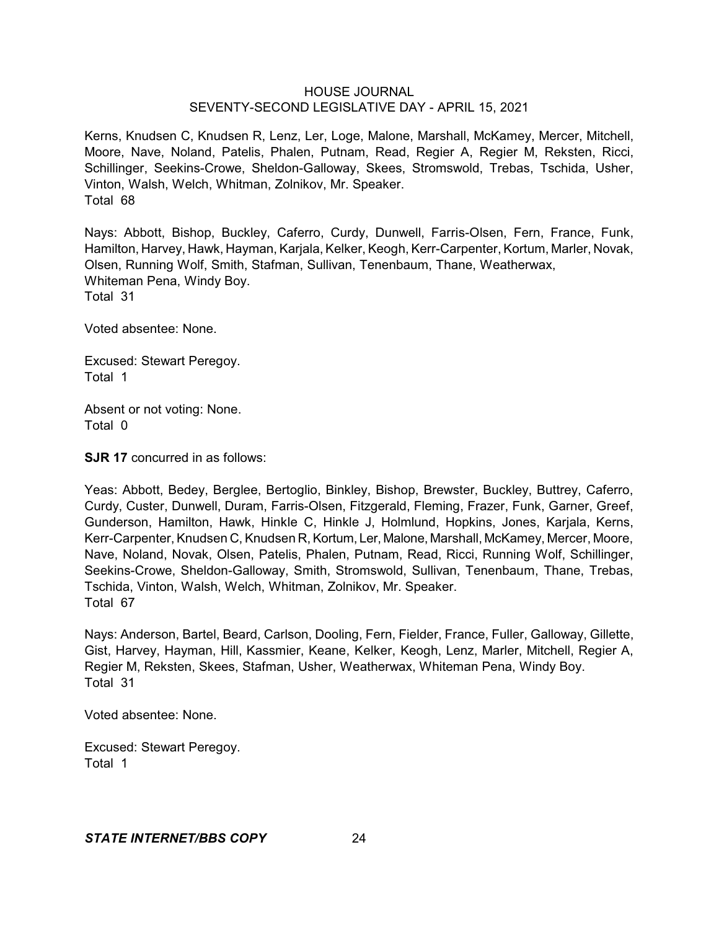Kerns, Knudsen C, Knudsen R, Lenz, Ler, Loge, Malone, Marshall, McKamey, Mercer, Mitchell, Moore, Nave, Noland, Patelis, Phalen, Putnam, Read, Regier A, Regier M, Reksten, Ricci, Schillinger, Seekins-Crowe, Sheldon-Galloway, Skees, Stromswold, Trebas, Tschida, Usher, Vinton, Walsh, Welch, Whitman, Zolnikov, Mr. Speaker. Total 68

Nays: Abbott, Bishop, Buckley, Caferro, Curdy, Dunwell, Farris-Olsen, Fern, France, Funk, Hamilton, Harvey, Hawk, Hayman, Karjala, Kelker, Keogh, Kerr-Carpenter, Kortum, Marler, Novak, Olsen, Running Wolf, Smith, Stafman, Sullivan, Tenenbaum, Thane, Weatherwax, Whiteman Pena, Windy Boy. Total 31

Voted absentee: None.

Excused: Stewart Peregoy. Total 1

Absent or not voting: None. Total 0

**SJR 17** concurred in as follows:

Yeas: Abbott, Bedey, Berglee, Bertoglio, Binkley, Bishop, Brewster, Buckley, Buttrey, Caferro, Curdy, Custer, Dunwell, Duram, Farris-Olsen, Fitzgerald, Fleming, Frazer, Funk, Garner, Greef, Gunderson, Hamilton, Hawk, Hinkle C, Hinkle J, Holmlund, Hopkins, Jones, Karjala, Kerns, Kerr-Carpenter, Knudsen C, Knudsen R, Kortum, Ler, Malone, Marshall, McKamey, Mercer, Moore, Nave, Noland, Novak, Olsen, Patelis, Phalen, Putnam, Read, Ricci, Running Wolf, Schillinger, Seekins-Crowe, Sheldon-Galloway, Smith, Stromswold, Sullivan, Tenenbaum, Thane, Trebas, Tschida, Vinton, Walsh, Welch, Whitman, Zolnikov, Mr. Speaker. Total 67

Nays: Anderson, Bartel, Beard, Carlson, Dooling, Fern, Fielder, France, Fuller, Galloway, Gillette, Gist, Harvey, Hayman, Hill, Kassmier, Keane, Kelker, Keogh, Lenz, Marler, Mitchell, Regier A, Regier M, Reksten, Skees, Stafman, Usher, Weatherwax, Whiteman Pena, Windy Boy. Total 31

Voted absentee: None.

Excused: Stewart Peregoy. Total 1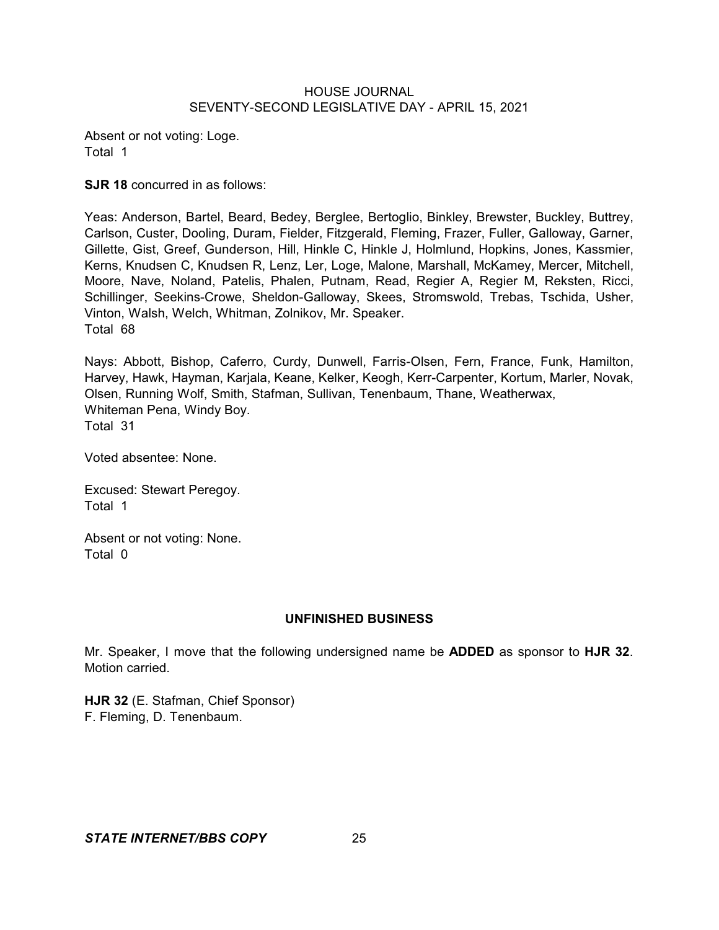Absent or not voting: Loge. Total 1

**SJR 18** concurred in as follows:

Yeas: Anderson, Bartel, Beard, Bedey, Berglee, Bertoglio, Binkley, Brewster, Buckley, Buttrey, Carlson, Custer, Dooling, Duram, Fielder, Fitzgerald, Fleming, Frazer, Fuller, Galloway, Garner, Gillette, Gist, Greef, Gunderson, Hill, Hinkle C, Hinkle J, Holmlund, Hopkins, Jones, Kassmier, Kerns, Knudsen C, Knudsen R, Lenz, Ler, Loge, Malone, Marshall, McKamey, Mercer, Mitchell, Moore, Nave, Noland, Patelis, Phalen, Putnam, Read, Regier A, Regier M, Reksten, Ricci, Schillinger, Seekins-Crowe, Sheldon-Galloway, Skees, Stromswold, Trebas, Tschida, Usher, Vinton, Walsh, Welch, Whitman, Zolnikov, Mr. Speaker. Total 68

Nays: Abbott, Bishop, Caferro, Curdy, Dunwell, Farris-Olsen, Fern, France, Funk, Hamilton, Harvey, Hawk, Hayman, Karjala, Keane, Kelker, Keogh, Kerr-Carpenter, Kortum, Marler, Novak, Olsen, Running Wolf, Smith, Stafman, Sullivan, Tenenbaum, Thane, Weatherwax, Whiteman Pena, Windy Boy. Total 31

Voted absentee: None.

Excused: Stewart Peregoy. Total 1

Absent or not voting: None. Total 0

### **UNFINISHED BUSINESS**

Mr. Speaker, I move that the following undersigned name be **ADDED** as sponsor to **HJR 32**. Motion carried.

**HJR 32** (E. Stafman, Chief Sponsor) F. Fleming, D. Tenenbaum.